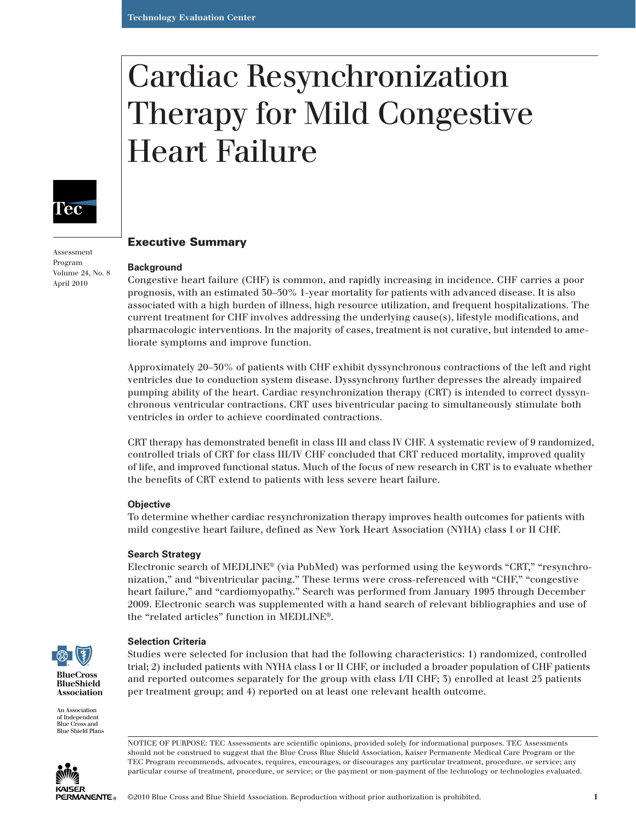# Cardiac Resynchronization Therapy for Mild Congestive Heart Failure



Assessment Program

April 2010

## Executive Summary

#### **Background** Volume 24, No. 8

Congestive heart failure (CHF) is common, and rapidly increasing in incidence. CHF carries a poor prognosis, with an estimated 30–50% 1-year mortality for patients with advanced disease. It is also associated with a high burden of illness, high resource utilization, and frequent hospitalizations. The current treatment for CHF involves addressing the underlying cause(s), lifestyle modifications, and pharmacologic interventions. In the majority of cases, treatment is not curative, but intended to ameliorate symptoms and improve function.

Approximately 20–30% of patients with CHF exhibit dyssynchronous contractions of the left and right ventricles due to conduction system disease. Dyssynchrony further depresses the already impaired pumping ability of the heart. Cardiac resynchronization therapy (CRT) is intended to correct dyssynchronous ventricular contractions. CRT uses biventricular pacing to simultaneously stimulate both ventricles in order to achieve coordinated contractions.

CRT therapy has demonstrated benefit in class III and class IV CHF. A systematic review of 9 randomized, controlled trials of CRT for class III/IV CHF concluded that CRT reduced mortality, improved quality of life, and improved functional status. Much of the focus of new research in CRT is to evaluate whether the benefits of CRT extend to patients with less severe heart failure.

## **Objective**

To determine whether cardiac resynchronization therapy improves health outcomes for patients with mild congestive heart failure, defined as New York Heart Association (NYHA) class I or II CHF.

## **Search Strategy**

Electronic search of MEDLINE® (via PubMed) was performed using the keywords "CRT," "resynchronization," and "biventricular pacing." These terms were cross-referenced with "CHF," "congestive heart failure," and "cardiomyopathy." Search was performed from January 1995 through December 2009. Electronic search was supplemented with a hand search of relevant bibliographies and use of the "related articles" function in MEDLINE®.



## **Selection Criteria**

Studies were selected for inclusion that had the following characteristics: 1) randomized, controlled trial; 2) included patients with NYHA class I or II CHF, or included a broader population of CHF patients and reported outcomes separately for the group with class I/II CHF; 3) enrolled at least 25 patients per treatment group; and 4) reported on at least one relevant health outcome.

An Association of Independent Blue Cross and Blue Shield Plans

**BlueShield Association**



NOTICE OF PURPOSE: TEC Assessments are scientific opinions, provided solely for informational purposes. TEC Assessments should not be construed to suggest that the Blue Cross Blue Shield Association, Kaiser Permanente Medical Care Program or the TEC Program recommends, advocates, requires, encourages, or discourages any particular treatment, procedure, or service; any particular course of treatment, procedure, or service; or the payment or non-payment of the technology or technologies evaluated.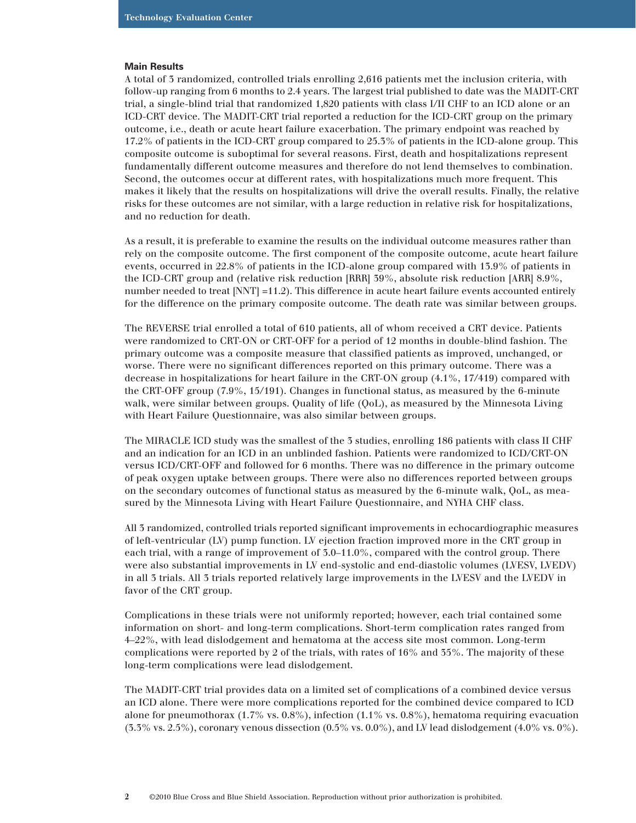#### **Main Results**

A total of 3 randomized, controlled trials enrolling 2,616 patients met the inclusion criteria, with follow-up ranging from 6 months to 2.4 years. The largest trial published to date was the MADIT-CRT trial, a single-blind trial that randomized 1,820 patients with class I/II CHF to an ICD alone or an ICD-CRT device. The MADIT-CRT trial reported a reduction for the ICD-CRT group on the primary outcome, i.e., death or acute heart failure exacerbation. The primary endpoint was reached by 17.2% of patients in the ICD-CRT group compared to 25.3% of patients in the ICD-alone group. This composite outcome is suboptimal for several reasons. First, death and hospitalizations represent fundamentally different outcome measures and therefore do not lend themselves to combination. Second, the outcomes occur at different rates, with hospitalizations much more frequent. This makes it likely that the results on hospitalizations will drive the overall results. Finally, the relative risks for these outcomes are not similar, with a large reduction in relative risk for hospitalizations, and no reduction for death.

As a result, it is preferable to examine the results on the individual outcome measures rather than rely on the composite outcome. The first component of the composite outcome, acute heart failure events, occurred in 22.8% of patients in the ICD-alone group compared with 13.9% of patients in the ICD-CRT group and (relative risk reduction [RRR] 39%, absolute risk reduction [ARR] 8.9%, number needed to treat [NNT] =11.2). This difference in acute heart failure events accounted entirely for the difference on the primary composite outcome. The death rate was similar between groups.

The REVERSE trial enrolled a total of 610 patients, all of whom received a CRT device. Patients were randomized to CRT-ON or CRT-OFF for a period of 12 months in double-blind fashion. The primary outcome was a composite measure that classified patients as improved, unchanged, or worse. There were no significant differences reported on this primary outcome. There was a decrease in hospitalizations for heart failure in the CRT-ON group (4.1%, 17/419) compared with the CRT-OFF group (7.9%, 15/191). Changes in functional status, as measured by the 6-minute walk, were similar between groups. Quality of life (QoL), as measured by the Minnesota Living with Heart Failure Questionnaire, was also similar between groups.

The MIRACLE ICD study was the smallest of the 3 studies, enrolling 186 patients with class II CHF and an indication for an ICD in an unblinded fashion. Patients were randomized to ICD/CRT-ON versus ICD/CRT-OFF and followed for 6 months. There was no difference in the primary outcome of peak oxygen uptake between groups. There were also no differences reported between groups on the secondary outcomes of functional status as measured by the 6-minute walk, QoL, as measured by the Minnesota Living with Heart Failure Questionnaire, and NYHA CHF class.

All 3 randomized, controlled trials reported significant improvements in echocardiographic measures of left-ventricular (LV) pump function. LV ejection fraction improved more in the CRT group in each trial, with a range of improvement of 3.0–11.0%, compared with the control group. There were also substantial improvements in LV end-systolic and end-diastolic volumes (LVESV, LVEDV) in all 3 trials. All 3 trials reported relatively large improvements in the LVESV and the LVEDV in favor of the CRT group.

Complications in these trials were not uniformly reported; however, each trial contained some information on short- and long-term complications. Short-term complication rates ranged from 4–22%, with lead dislodgement and hematoma at the access site most common. Long-term complications were reported by 2 of the trials, with rates of 16% and 35%. The majority of these long-term complications were lead dislodgement.

The MADIT-CRT trial provides data on a limited set of complications of a combined device versus an ICD alone. There were more complications reported for the combined device compared to ICD alone for pneumothorax (1.7% vs. 0.8%), infection (1.1% vs. 0.8%), hematoma requiring evacuation  $(3.5\% \text{ vs. } 2.5\%)$ , coronary venous dissection  $(0.5\% \text{ vs. } 0.0\%)$ , and LV lead dislodgement  $(4.0\% \text{ vs. } 0\%)$ .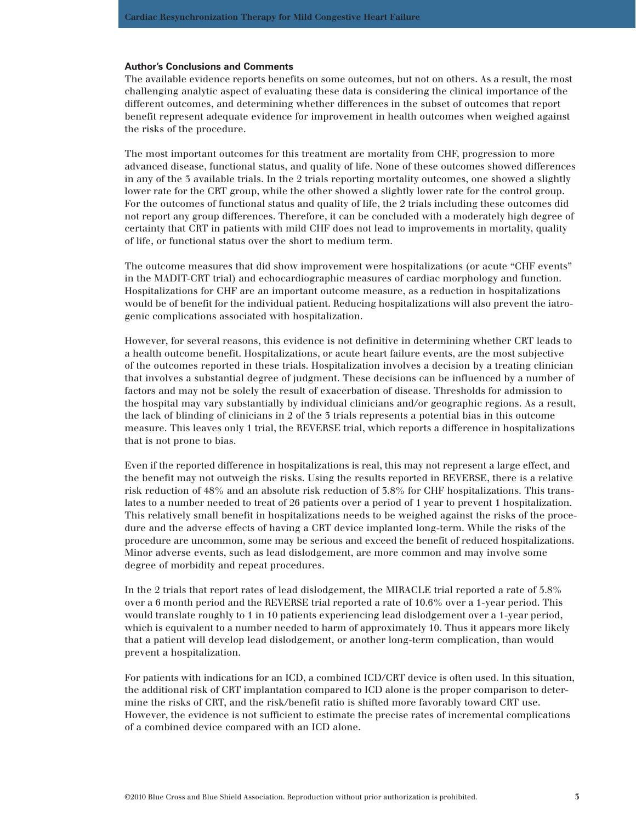#### **Author's Conclusions and Comments**

The available evidence reports benefits on some outcomes, but not on others. As a result, the most challenging analytic aspect of evaluating these data is considering the clinical importance of the different outcomes, and determining whether differences in the subset of outcomes that report benefit represent adequate evidence for improvement in health outcomes when weighed against the risks of the procedure.

The most important outcomes for this treatment are mortality from CHF, progression to more advanced disease, functional status, and quality of life. None of these outcomes showed differences in any of the 3 available trials. In the 2 trials reporting mortality outcomes, one showed a slightly lower rate for the CRT group, while the other showed a slightly lower rate for the control group. For the outcomes of functional status and quality of life, the 2 trials including these outcomes did not report any group differences. Therefore, it can be concluded with a moderately high degree of certainty that CRT in patients with mild CHF does not lead to improvements in mortality, quality of life, or functional status over the short to medium term.

The outcome measures that did show improvement were hospitalizations (or acute "CHF events" in the MADIT-CRT trial) and echocardiographic measures of cardiac morphology and function. Hospitalizations for CHF are an important outcome measure, as a reduction in hospitalizations would be of benefit for the individual patient. Reducing hospitalizations will also prevent the iatrogenic complications associated with hospitalization.

However, for several reasons, this evidence is not definitive in determining whether CRT leads to a health outcome benefit. Hospitalizations, or acute heart failure events, are the most subjective of the outcomes reported in these trials. Hospitalization involves a decision by a treating clinician that involves a substantial degree of judgment. These decisions can be influenced by a number of factors and may not be solely the result of exacerbation of disease. Thresholds for admission to the hospital may vary substantially by individual clinicians and/or geographic regions. As a result, the lack of blinding of clinicians in 2 of the 3 trials represents a potential bias in this outcome measure. This leaves only 1 trial, the REVERSE trial, which reports a difference in hospitalizations that is not prone to bias.

Even if the reported difference in hospitalizations is real, this may not represent a large effect, and the benefit may not outweigh the risks. Using the results reported in REVERSE, there is a relative risk reduction of 48% and an absolute risk reduction of 3.8% for CHF hospitalizations. This translates to a number needed to treat of 26 patients over a period of 1 year to prevent 1 hospitalization. This relatively small benefit in hospitalizations needs to be weighed against the risks of the procedure and the adverse effects of having a CRT device implanted long-term. While the risks of the procedure are uncommon, some may be serious and exceed the benefit of reduced hospitalizations. Minor adverse events, such as lead dislodgement, are more common and may involve some degree of morbidity and repeat procedures.

In the 2 trials that report rates of lead dislodgement, the MIRACLE trial reported a rate of 5.8% over a 6 month period and the REVERSE trial reported a rate of 10.6% over a 1-year period. This would translate roughly to 1 in 10 patients experiencing lead dislodgement over a 1-year period, which is equivalent to a number needed to harm of approximately 10. Thus it appears more likely that a patient will develop lead dislodgement, or another long-term complication, than would prevent a hospitalization.

For patients with indications for an ICD, a combined ICD/CRT device is often used. In this situation, the additional risk of CRT implantation compared to ICD alone is the proper comparison to determine the risks of CRT, and the risk/benefit ratio is shifted more favorably toward CRT use. However, the evidence is not sufficient to estimate the precise rates of incremental complications of a combined device compared with an ICD alone.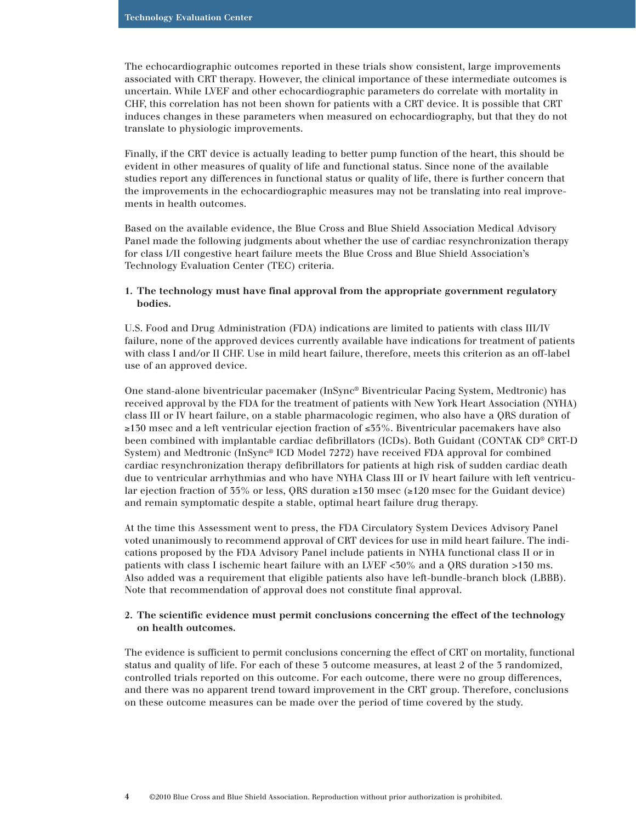The echocardiographic outcomes reported in these trials show consistent, large improvements associated with CRT therapy. However, the clinical importance of these intermediate outcomes is uncertain. While LVEF and other echocardiographic parameters do correlate with mortality in CHF, this correlation has not been shown for patients with a CRT device. It is possible that CRT induces changes in these parameters when measured on echocardiography, but that they do not translate to physiologic improvements.

Finally, if the CRT device is actually leading to better pump function of the heart, this should be evident in other measures of quality of life and functional status. Since none of the available studies report any differences in functional status or quality of life, there is further concern that the improvements in the echocardiographic measures may not be translating into real improvements in health outcomes.

Based on the available evidence, the Blue Cross and Blue Shield Association Medical Advisory Panel made the following judgments about whether the use of cardiac resynchronization therapy for class I/II congestive heart failure meets the Blue Cross and Blue Shield Association's Technology Evaluation Center (TEC) criteria.

## **1. The technology must have final approval from the appropriate government regulatory bodies.**

U.S. Food and Drug Administration (FDA) indications are limited to patients with class III/IV failure, none of the approved devices currently available have indications for treatment of patients with class I and/or II CHF. Use in mild heart failure, therefore, meets this criterion as an off-label use of an approved device.

One stand-alone biventricular pacemaker (InSync® Biventricular Pacing System, Medtronic) has received approval by the FDA for the treatment of patients with New York Heart Association (NYHA) class III or IV heart failure, on a stable pharmacologic regimen, who also have a QRS duration of ≥130 msec and a left ventricular ejection fraction of ≤35%. Biventricular pacemakers have also been combined with implantable cardiac defibrillators (ICDs). Both Guidant (CONTAK CD® CRT-D System) and Medtronic (InSync® ICD Model 7272) have received FDA approval for combined cardiac resynchronization therapy defibrillators for patients at high risk of sudden cardiac death due to ventricular arrhythmias and who have NYHA Class III or IV heart failure with left ventricular ejection fraction of 35% or less, QRS duration ≥130 msec (≥120 msec for the Guidant device) and remain symptomatic despite a stable, optimal heart failure drug therapy.

At the time this Assessment went to press, the FDA Circulatory System Devices Advisory Panel voted unanimously to recommend approval of CRT devices for use in mild heart failure. The indications proposed by the FDA Advisory Panel include patients in NYHA functional class II or in patients with class I ischemic heart failure with an LVEF <30% and a QRS duration >130 ms. Also added was a requirement that eligible patients also have left-bundle-branch block (LBBB). Note that recommendation of approval does not constitute final approval.

## **2. The scientific evidence must permit conclusions concerning the effect of the technology on health outcomes.**

The evidence is sufficient to permit conclusions concerning the effect of CRT on mortality, functional status and quality of life. For each of these 3 outcome measures, at least 2 of the 3 randomized, controlled trials reported on this outcome. For each outcome, there were no group differences, and there was no apparent trend toward improvement in the CRT group. Therefore, conclusions on these outcome measures can be made over the period of time covered by the study.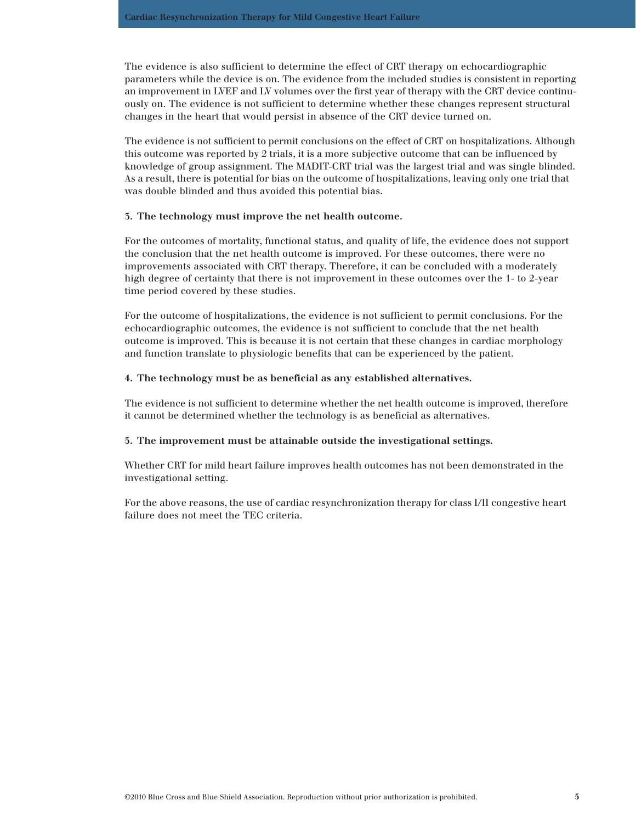The evidence is also sufficient to determine the effect of CRT therapy on echocardiographic parameters while the device is on. The evidence from the included studies is consistent in reporting an improvement in LVEF and LV volumes over the first year of therapy with the CRT device continuously on. The evidence is not sufficient to determine whether these changes represent structural changes in the heart that would persist in absence of the CRT device turned on.

The evidence is not sufficient to permit conclusions on the effect of CRT on hospitalizations. Although this outcome was reported by  $2$  trials, it is a more subjective outcome that can be influenced by knowledge of group assignment. The MADIT-CRT trial was the largest trial and was single blinded. As a result, there is potential for bias on the outcome of hospitalizations, leaving only one trial that was double blinded and thus avoided this potential bias.

#### **3. The technology must improve the net health outcome.**

For the outcomes of mortality, functional status, and quality of life, the evidence does not support the conclusion that the net health outcome is improved. For these outcomes, there were no improvements associated with CRT therapy. Therefore, it can be concluded with a moderately high degree of certainty that there is not improvement in these outcomes over the 1- to 2-year time period covered by these studies.

For the outcome of hospitalizations, the evidence is not sufficient to permit conclusions. For the echocardiographic outcomes, the evidence is not sufficient to conclude that the net health outcome is improved. This is because it is not certain that these changes in cardiac morphology and function translate to physiologic benefits that can be experienced by the patient.

#### **4. The technology must be as beneficial as any established alternatives.**

The evidence is not sufficient to determine whether the net health outcome is improved, therefore it cannot be determined whether the technology is as beneficial as alternatives.

#### **5. The improvement must be attainable outside the investigational settings.**

Whether CRT for mild heart failure improves health outcomes has not been demonstrated in the investigational setting.

For the above reasons, the use of cardiac resynchronization therapy for class I/II congestive heart failure does not meet the TEC criteria.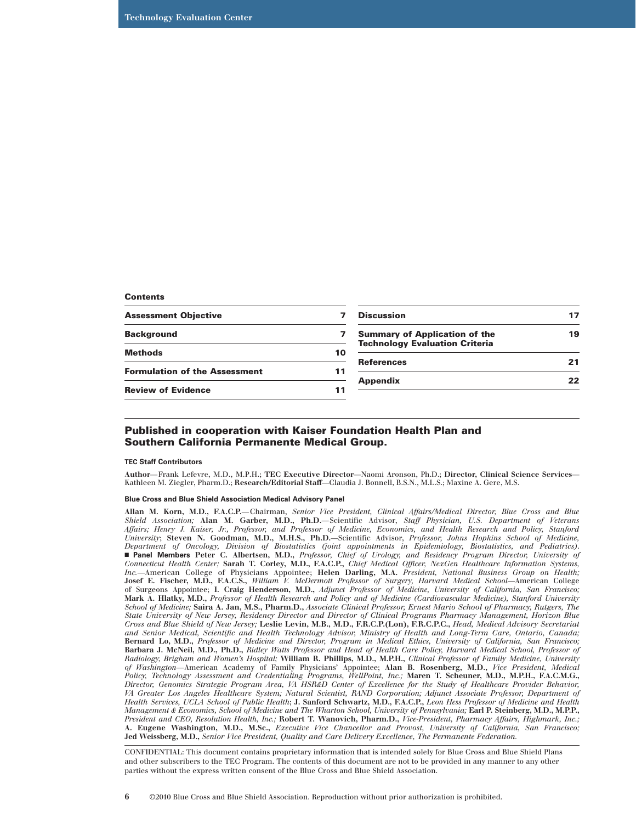#### **Contents**

| <b>Assessment Objective</b>          |    | <b>Discussion</b>                                                             | 17 |
|--------------------------------------|----|-------------------------------------------------------------------------------|----|
| <b>Background</b>                    |    | <b>Summary of Application of the</b><br><b>Technology Evaluation Criteria</b> | 19 |
| <b>Methods</b>                       | 10 |                                                                               | 21 |
| <b>Formulation of the Assessment</b> |    | <b>References</b>                                                             |    |
| <b>Review of Evidence</b>            |    | <b>Appendix</b>                                                               | 22 |

#### Published in cooperation with Kaiser Foundation Health Plan and Southern California Permanente Medical Group.

#### **TEC Staff Contributors**

**Author**—Frank Lefevre, M.D., M.P.H.; **TEC Executive Director**—Naomi Aronson, Ph.D.; **Director, Clinical Science Services**— Kathleen M. Ziegler, Pharm.D.; **Research/Editorial Staff**—Claudia J. Bonnell, B.S.N., M.L.S.; Maxine A. Gere, M.S.

#### **Blue Cross and Blue Shield Association Medical Advisory Panel**

**Allan M. Korn, M.D., F.A.C.P.**—Chairman, *Senior Vice President, Clinical Affairs/Medical Director, Blue Cross and Blue Shield Association;* **Alan M. Garber, M.D., Ph.D.**—Scientific Advisor, *Staff Physician, U.S. Department of Veterans Affairs; Henry J. Kaiser, Jr., Professor, and Professor of Medicine, Economics, and Health Research and Policy, Stanford University*; **Steven N. Goodman, M.D., M.H.S., Ph.D.**—Scientific Advisor, *Professor, Johns Hopkins School of Medicine, Department of Oncology, Division of Biostatistics (joint appointments in Epidemiology, Biostatistics, and Pediatrics)*. **Panel Members Peter C. Albertsen, M.D.,** *Professor, Chief of Urology, and Residency Program Director, University of Connecticut Health Center;* **Sarah T. Corley, M.D., F.A.C.P.,** *Chief Medical Officer, NexGen Healthcare Information Systems, Inc.*—American College of Physicians Appointee; **Helen Darling, M.A.** *President, National Business Group on Health;*  **Josef E. Fischer, M.D., F.A.C.S.,** *William V. McDermott Professor of Surgery, Harvard Medical School*—American College of Surgeons Appointee; **I. Craig Henderson, M.D.,** *Adjunct Professor of Medicine, University of California, San Francisco;*  **Mark A. Hlatky, M.D.,** *Professor of Health Research and Policy and of Medicine (Cardiovascular Medicine), Stanford University School of Medicine;* **Saira A. Jan, M.S., Pharm.D.,** *Associate Clinical Professor, Ernest Mario School of Pharmacy, Rutgers, The State University of New Jersey, Residency Director and Director of Clinical Programs Pharmacy Management, Horizon Blue Cross and Blue Shield of New Jersey;* **Leslie Levin, M.B., M.D., F.R.C.P.(Lon), F.R.C.P.C.,** *Head, Medical Advisory Secretariat and Senior Medical, Scientific and Health Technology Advisor, Ministry of Health and Long-Term Care, Ontario, Canada;*  **Bernard Lo, M.D.,** *Professor of Medicine and Director, Program in Medical Ethics, University of California, San Francisco;*  **Barbara J. McNeil, M.D., Ph.D.,** *Ridley Watts Professor and Head of Health Care Policy, Harvard Medical School, Professor of Radiology, Brigham and Women's Hospital;* **William R. Phillips, M.D., M.P.H.,** *Clinical Professor of Family Medicine, University of Washington—*American Academy of Family Physicians' Appointee; **Alan B. Rosenberg, M.D.,** *Vice President, Medical Policy, Technology Assessment and Credentialing Programs, WellPoint, Inc.;* **Maren T. Scheuner, M.D., M.P.H., F.A.C.M.G.,**  *Director, Genomics Strategic Program Area, VA HSR&D Center of Excellence for the Study of Healthcare Provider Behavior, VA Greater Los Angeles Healthcare System; Natural Scientist, RAND Corporation; Adjunct Associate Professor, Department of Health Services, UCLA School of Public Health*; **J. Sanford Schwartz, M.D., F.A.C.P.,** *Leon Hess Professor of Medicine and Health Management & Economics, School of Medicine and The Wharton School, University of Pennsylvania;* **Earl P. Steinberg, M.D., M.P.P.,** *President and CEO, Resolution Health, Inc.;* **Robert T. Wanovich, Pharm.D.,** *Vice-President, Pharmacy Affairs, Highmark, Inc.;*  **A. Eugene Washington, M.D., M.Sc.,** *Executive Vice Chancellor and Provost, University of California, San Francisco;*  **Jed Weissberg, M.D.,** *Senior Vice President, Quality and Care Delivery Excellence, The Permanente Federation.*

CONFIDENTIAL: This document contains proprietary information that is intended solely for Blue Cross and Blue Shield Plans and other subscribers to the TEC Program. The contents of this document are not to be provided in any manner to any other parties without the express written consent of the Blue Cross and Blue Shield Association.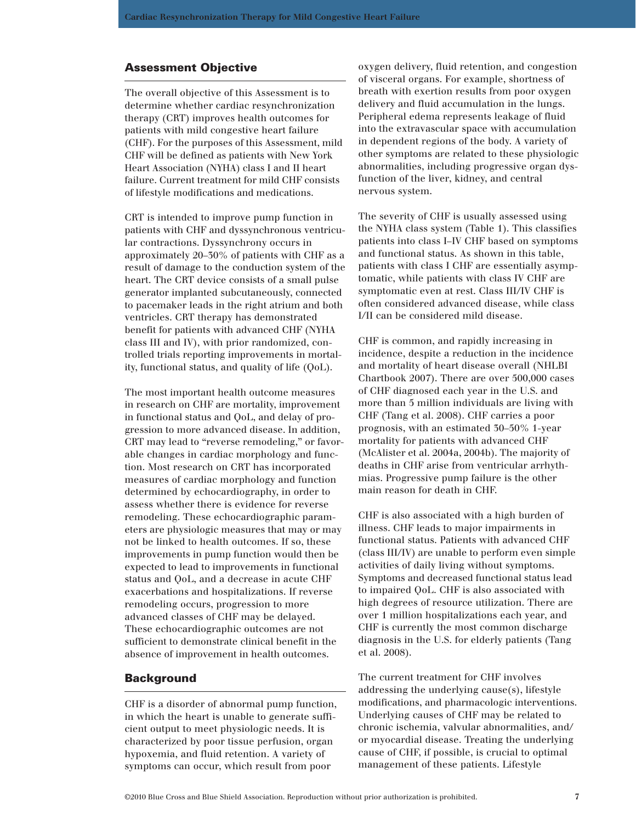## <span id="page-6-0"></span>Assessment Objective

The overall objective of this Assessment is to determine whether cardiac resynchronization therapy (CRT) improves health outcomes for patients with mild congestive heart failure (CHF). For the purposes of this Assessment, mild CHF will be defined as patients with New York Heart Association (NYHA) class I and II heart failure. Current treatment for mild CHF consists of lifestyle modifications and medications.

CRT is intended to improve pump function in patients with CHF and dyssynchronous ventricular contractions. Dyssynchrony occurs in approximately 20–30% of patients with CHF as a result of damage to the conduction system of the heart. The CRT device consists of a small pulse generator implanted subcutaneously, connected to pacemaker leads in the right atrium and both ventricles. CRT therapy has demonstrated benefit for patients with advanced CHF (NYHA class III and IV), with prior randomized, controlled trials reporting improvements in mortality, functional status, and quality of life (QoL).

The most important health outcome measures in research on CHF are mortality, improvement in functional status and QoL, and delay of progression to more advanced disease. In addition, CRT may lead to "reverse remodeling," or favorable changes in cardiac morphology and function. Most research on CRT has incorporated measures of cardiac morphology and function determined by echocardiography, in order to assess whether there is evidence for reverse remodeling. These echocardiographic parameters are physiologic measures that may or may not be linked to health outcomes. If so, these improvements in pump function would then be expected to lead to improvements in functional status and QoL, and a decrease in acute CHF exacerbations and hospitalizations. If reverse remodeling occurs, progression to more advanced classes of CHF may be delayed. These echocardiographic outcomes are not sufficient to demonstrate clinical benefit in the absence of improvement in health outcomes.

## Background

CHF is a disorder of abnormal pump function, in which the heart is unable to generate sufficient output to meet physiologic needs. It is characterized by poor tissue perfusion, organ hypoxemia, and fluid retention. A variety of symptoms can occur, which result from poor

oxygen delivery, fluid retention, and congestion of visceral organs. For example, shortness of breath with exertion results from poor oxygen delivery and fluid accumulation in the lungs. Peripheral edema represents leakage of fluid into the extravascular space with accumulation in dependent regions of the body. A variety of other symptoms are related to these physiologic abnormalities, including progressive organ dysfunction of the liver, kidney, and central nervous system.

The severity of CHF is usually assessed using the NYHA class system (Table 1). This classifies patients into class I–IV CHF based on symptoms and functional status. As shown in this table, patients with class I CHF are essentially asymptomatic, while patients with class IV CHF are symptomatic even at rest. Class III/IV CHF is often considered advanced disease, while class I/II can be considered mild disease.

CHF is common, and rapidly increasing in incidence, despite a reduction in the incidence and mortality of heart disease overall (NHLBI Chartbook 2007). There are over 500,000 cases of CHF diagnosed each year in the U.S. and more than 5 million individuals are living with CHF (Tang et al. 2008). CHF carries a poor prognosis, with an estimated 30–50% 1-year mortality for patients with advanced CHF (McAlister et al. 2004a, 2004b). The majority of deaths in CHF arise from ventricular arrhythmias. Progressive pump failure is the other main reason for death in CHF.

CHF is also associated with a high burden of illness. CHF leads to major impairments in functional status. Patients with advanced CHF (class III/IV) are unable to perform even simple activities of daily living without symptoms. Symptoms and decreased functional status lead to impaired QoL. CHF is also associated with high degrees of resource utilization. There are over 1 million hospitalizations each year, and CHF is currently the most common discharge diagnosis in the U.S. for elderly patients (Tang et al. 2008).

The current treatment for CHF involves addressing the underlying cause(s), lifestyle modifications, and pharmacologic interventions. Underlying causes of CHF may be related to chronic ischemia, valvular abnormalities, and/ or myocardial disease. Treating the underlying cause of CHF, if possible, is crucial to optimal management of these patients. Lifestyle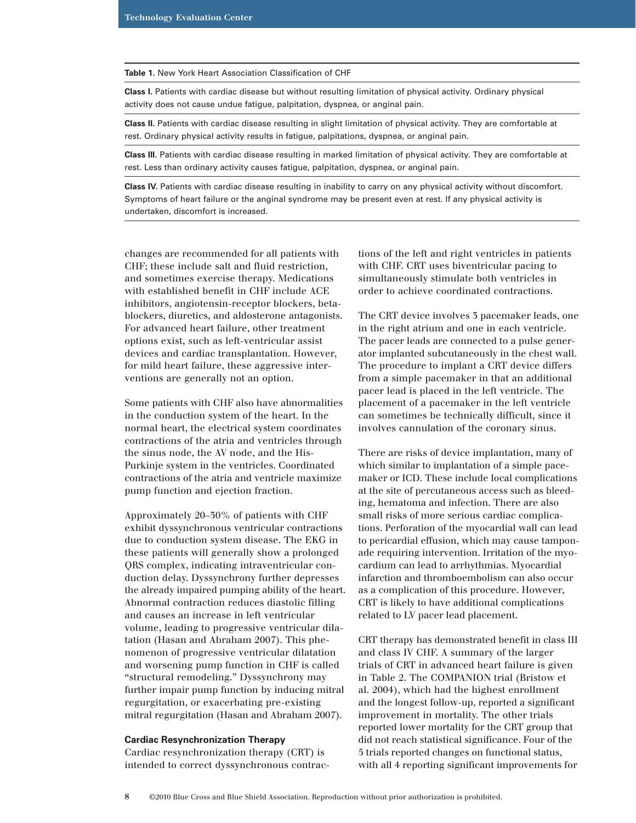#### **Table 1.** New York Heart Association Classification of CHF

**Class I.** Patients with cardiac disease but without resulting limitation of physical activity. Ordinary physical activity does not cause undue fatigue, palpitation, dyspnea, or anginal pain.

**Class II.** Patients with cardiac disease resulting in slight limitation of physical activity. They are comfortable at rest. Ordinary physical activity results in fatigue, palpitations, dyspnea, or anginal pain.

**Class III.** Patients with cardiac disease resulting in marked limitation of physical activity. They are comfortable at rest. Less than ordinary activity causes fatigue, palpitation, dyspnea, or anginal pain.

**Class IV.** Patients with cardiac disease resulting in inability to carry on any physical activity without discomfort. Symptoms of heart failure or the anginal syndrome may be present even at rest. If any physical activity is undertaken, discomfort is increased.

changes are recommended for all patients with CHF; these include salt and fluid restriction, and sometimes exercise therapy. Medications with established benefit in CHF include ACE inhibitors, angiotensin-receptor blockers, betablockers, diuretics, and aldosterone antagonists. For advanced heart failure, other treatment options exist, such as left-ventricular assist devices and cardiac transplantation. However, for mild heart failure, these aggressive interventions are generally not an option.

Some patients with CHF also have abnormalities in the conduction system of the heart. In the normal heart, the electrical system coordinates contractions of the atria and ventricles through the sinus node, the AV node, and the His-Purkinje system in the ventricles. Coordinated contractions of the atria and ventricle maximize pump function and ejection fraction.

Approximately 20–30% of patients with CHF exhibit dyssynchronous ventricular contractions due to conduction system disease. The EKG in these patients will generally show a prolonged QRS complex, indicating intraventricular conduction delay. Dyssynchrony further depresses the already impaired pumping ability of the heart. Abnormal contraction reduces diastolic filling and causes an increase in left ventricular volume, leading to progressive ventricular dilatation (Hasan and Abraham 2007). This phenomenon of progressive ventricular dilatation and worsening pump function in CHF is called "structural remodeling." Dyssynchrony may further impair pump function by inducing mitral regurgitation, or exacerbating pre-existing mitral regurgitation (Hasan and Abraham 2007).

#### **Cardiac Resynchronization Therapy**

Cardiac resynchronization therapy (CRT) is intended to correct dyssynchronous contractions of the left and right ventricles in patients with CHF. CRT uses biventricular pacing to simultaneously stimulate both ventricles in order to achieve coordinated contractions.

The CRT device involves 3 pacemaker leads, one in the right atrium and one in each ventricle. The pacer leads are connected to a pulse generator implanted subcutaneously in the chest wall. The procedure to implant a CRT device differs from a simple pacemaker in that an additional pacer lead is placed in the left ventricle. The placement of a pacemaker in the left ventricle can sometimes be technically difficult, since it involves cannulation of the coronary sinus.

There are risks of device implantation, many of which similar to implantation of a simple pacemaker or ICD. These include local complications at the site of percutaneous access such as bleeding, hematoma and infection. There are also small risks of more serious cardiac complications. Perforation of the myocardial wall can lead to pericardial effusion, which may cause tamponade requiring intervention. Irritation of the myocardium can lead to arrhythmias. Myocardial infarction and thromboembolism can also occur as a complication of this procedure. However, CRT is likely to have additional complications related to LV pacer lead placement.

CRT therapy has demonstrated benefit in class III and class IV CHF. A summary of the larger trials of CRT in advanced heart failure is given in Table 2. The COMPANION trial (Bristow et al. 2004), which had the highest enrollment and the longest follow-up, reported a significant improvement in mortality. The other trials reported lower mortality for the CRT group that did not reach statistical significance. Four of the 5 trials reported changes on functional status, with all 4 reporting significant improvements for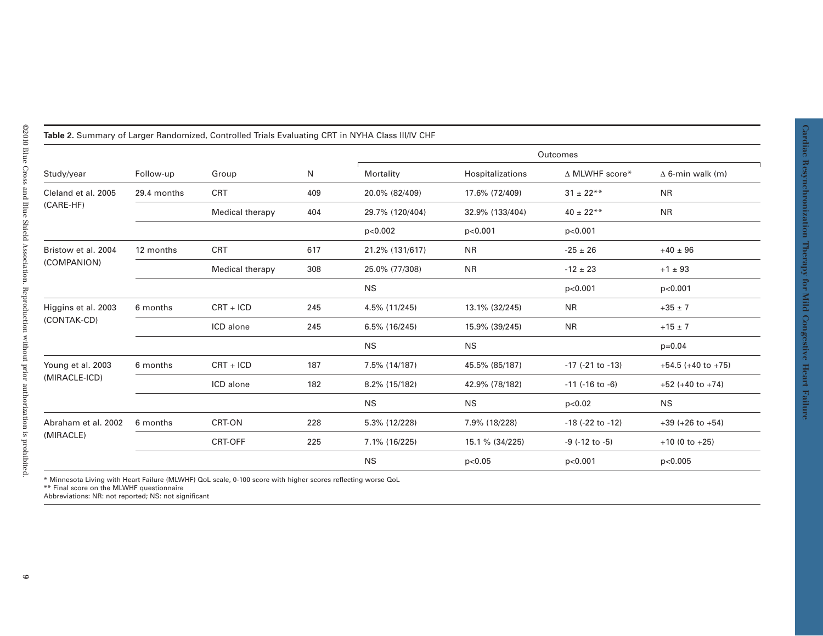| Table 2. Summary of Larger Randomized, Controlled Trials Evaluating CRT in NYHA Class III/IV CHF |             |                 |     |                 |                  |                          |                         |  |  |  |
|--------------------------------------------------------------------------------------------------|-------------|-----------------|-----|-----------------|------------------|--------------------------|-------------------------|--|--|--|
|                                                                                                  |             |                 |     |                 |                  | Outcomes                 |                         |  |  |  |
| Study/year                                                                                       | Follow-up   | Group           | N   | Mortality       | Hospitalizations | A MLWHF score*           | $\Delta$ 6-min walk (m) |  |  |  |
| Cleland et al. 2005                                                                              | 29.4 months | <b>CRT</b>      | 409 | 20.0% (82/409)  | 17.6% (72/409)   | $31 \pm 22**$            | N <sub>R</sub>          |  |  |  |
| (CARE-HF)                                                                                        |             | Medical therapy | 404 | 29.7% (120/404) | 32.9% (133/404)  | $40 \pm 22**$            | <b>NR</b>               |  |  |  |
|                                                                                                  |             |                 |     | p<0.002         | p<0.001          | p<0.001                  |                         |  |  |  |
| Bristow et al. 2004                                                                              | 12 months   | <b>CRT</b>      | 617 | 21.2% (131/617) | <b>NR</b>        | $-25 \pm 26$             | $+40 \pm 96$            |  |  |  |
| (COMPANION)                                                                                      |             | Medical therapy | 308 | 25.0% (77/308)  | <b>NR</b>        | $-12 \pm 23$             | $+1 \pm 93$             |  |  |  |
|                                                                                                  |             |                 |     | <b>NS</b>       |                  | p<0.001                  | p<0.001                 |  |  |  |
| Higgins et al. 2003                                                                              | 6 months    | $CRT + ICD$     | 245 | 4.5% (11/245)   | 13.1% (32/245)   | <b>NR</b>                | $+35 \pm 7$             |  |  |  |
| (CONTAK-CD)                                                                                      |             | ICD alone       | 245 | 6.5% (16/245)   | 15.9% (39/245)   | <b>NR</b>                | $+15 \pm 7$             |  |  |  |
|                                                                                                  |             |                 |     | <b>NS</b>       | <b>NS</b>        |                          | $p=0.04$                |  |  |  |
| Young et al. 2003                                                                                | 6 months    | $CRT + ICD$     | 187 | 7.5% (14/187)   | 45.5% (85/187)   | $-17$ ( $-21$ to $-13$ ) | $+54.5 (+40 to +75)$    |  |  |  |
| (MIRACLE-ICD)                                                                                    |             | ICD alone       | 182 | 8.2% (15/182)   | 42.9% (78/182)   | $-11$ ( $-16$ to $-6$ )  | $+52 (+40 to +74)$      |  |  |  |
|                                                                                                  |             |                 |     | <b>NS</b>       | <b>NS</b>        | p<0.02                   | <b>NS</b>               |  |  |  |
| Abraham et al. 2002                                                                              | 6 months    | CRT-ON          | 228 | 5.3% (12/228)   | 7.9% (18/228)    | $-18$ ( $-22$ to $-12$ ) | $+39 (+26 to +54)$      |  |  |  |
| (MIRACLE)                                                                                        |             | CRT-OFF         | 225 | 7.1% (16/225)   | 15.1 % (34/225)  | $-9$ ( $-12$ to $-5$ )   | $+10(0 to +25)$         |  |  |  |
|                                                                                                  |             |                 |     | <b>NS</b>       | p<0.05           | p<0.001                  | p<0.005                 |  |  |  |

\* Minnesota Living with Heart Failure (MLWHF) QoL scale, 0-100 score with higher scores reflecting worse QoL \*\* Final score on the MLWHF questionnaire Abbreviations: NR: not reported; NS: not significant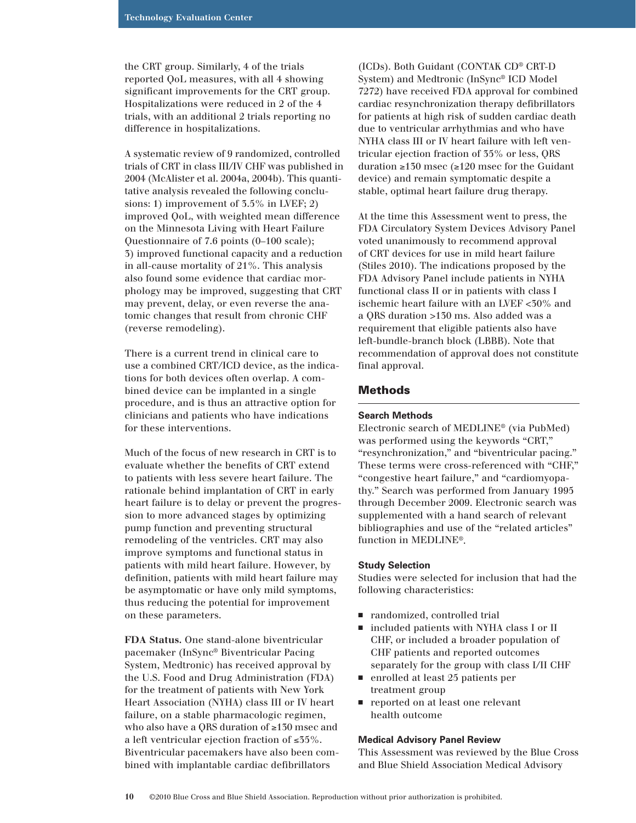<span id="page-9-0"></span>the CRT group. Similarly, 4 of the trials reported QoL measures, with all 4 showing significant improvements for the CRT group. Hospitalizations were reduced in 2 of the 4 trials, with an additional 2 trials reporting no difference in hospitalizations.

A systematic review of 9 randomized, controlled trials of CRT in class III/IV CHF was published in 2004 (McAlister et al. 2004a, 2004b). This quantitative analysis revealed the following conclusions: 1) improvement of 3.5% in LVEF; 2) improved QoL, with weighted mean difference on the Minnesota Living with Heart Failure Questionnaire of 7.6 points (0–100 scale); 3) improved functional capacity and a reduction in all-cause mortality of 21%. This analysis also found some evidence that cardiac morphology may be improved, suggesting that CRT may prevent, delay, or even reverse the anatomic changes that result from chronic CHF (reverse remodeling).

There is a current trend in clinical care to use a combined CRT/ICD device, as the indications for both devices often overlap. A combined device can be implanted in a single procedure, and is thus an attractive option for clinicians and patients who have indications for these interventions.

Much of the focus of new research in CRT is to evaluate whether the benefits of CRT extend to patients with less severe heart failure. The rationale behind implantation of CRT in early heart failure is to delay or prevent the progression to more advanced stages by optimizing pump function and preventing structural remodeling of the ventricles. CRT may also improve symptoms and functional status in patients with mild heart failure. However, by definition, patients with mild heart failure may be asymptomatic or have only mild symptoms, thus reducing the potential for improvement on these parameters.

**FDA Status.** One stand-alone biventricular pacemaker (InSync® Biventricular Pacing System, Medtronic) has received approval by the U.S. Food and Drug Administration (FDA) for the treatment of patients with New York Heart Association (NYHA) class III or IV heart failure, on a stable pharmacologic regimen, who also have a QRS duration of ≥130 msec and a left ventricular ejection fraction of ≤35%. Biventricular pacemakers have also been combined with implantable cardiac defibrillators

(ICDs). Both Guidant (CONTAK CD® CRT-D System) and Medtronic (InSync® ICD Model 7272) have received FDA approval for combined cardiac resynchronization therapy defibrillators for patients at high risk of sudden cardiac death due to ventricular arrhythmias and who have NYHA class III or IV heart failure with left ventricular ejection fraction of 35% or less, QRS duration ≥130 msec (≥120 msec for the Guidant device) and remain symptomatic despite a stable, optimal heart failure drug therapy.

At the time this Assessment went to press, the FDA Circulatory System Devices Advisory Panel voted unanimously to recommend approval of CRT devices for use in mild heart failure (Stiles 2010). The indications proposed by the FDA Advisory Panel include patients in NYHA functional class II or in patients with class I ischemic heart failure with an LVEF <30% and a QRS duration >130 ms. Also added was a requirement that eligible patients also have left-bundle-branch block (LBBB). Note that recommendation of approval does not constitute final approval.

## Methods

#### **Search Methods**

Electronic search of MEDLINE® (via PubMed) was performed using the keywords "CRT," "resynchronization," and "biventricular pacing." These terms were cross-referenced with "CHF," "congestive heart failure," and "cardiomyopathy." Search was performed from January 1995 through December 2009. Electronic search was supplemented with a hand search of relevant bibliographies and use of the "related articles" function in MEDLINE®.

#### **Study Selection**

Studies were selected for inclusion that had the following characteristics:

- n randomized, controlled trial
- included patients with NYHA class I or II CHF, or included a broader population of CHF patients and reported outcomes separately for the group with class I/II CHF
- n enrolled at least 25 patients per treatment group
- n reported on at least one relevant health outcome

#### **Medical Advisory Panel Review**

This Assessment was reviewed by the Blue Cross and Blue Shield Association Medical Advisory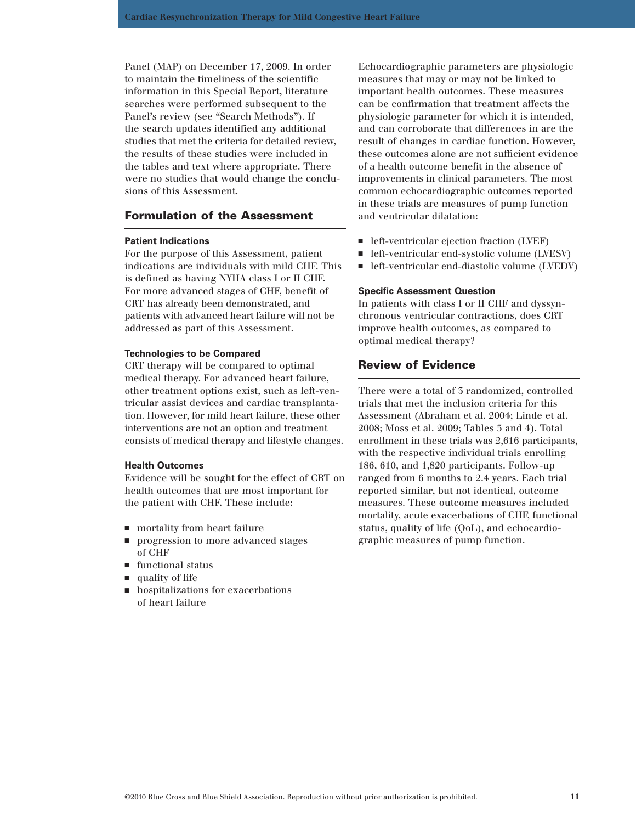<span id="page-10-0"></span>Panel (MAP) on December 17, 2009. In order to maintain the timeliness of the scientific information in this Special Report, literature searches were performed subsequent to the Panel's review (see "Search Methods"). If the search updates identified any additional studies that met the criteria for detailed review, the results of these studies were included in the tables and text where appropriate. There were no studies that would change the conclusions of this Assessment.

## Formulation of the Assessment

#### **Patient Indications**

For the purpose of this Assessment, patient indications are individuals with mild CHF. This is defined as having NYHA class I or II CHF. For more advanced stages of CHF, benefit of CRT has already been demonstrated, and patients with advanced heart failure will not be addressed as part of this Assessment.

#### **Technologies to be Compared**

CRT therapy will be compared to optimal medical therapy. For advanced heart failure, other treatment options exist, such as left-ventricular assist devices and cardiac transplantation. However, for mild heart failure, these other interventions are not an option and treatment consists of medical therapy and lifestyle changes.

#### **Health Outcomes**

Evidence will be sought for the effect of CRT on health outcomes that are most important for the patient with CHF. These include:

- mortality from heart failure
- n progression to more advanced stages of CHF
- $\quad \blacksquare$  functional status
- $\blacksquare$  quality of life
- $\blacksquare$  hospitalizations for exacerbations of heart failure

Echocardiographic parameters are physiologic measures that may or may not be linked to important health outcomes. These measures can be confirmation that treatment affects the physiologic parameter for which it is intended, and can corroborate that differences in are the result of changes in cardiac function. However, these outcomes alone are not sufficient evidence of a health outcome benefit in the absence of improvements in clinical parameters. The most common echocardiographic outcomes reported in these trials are measures of pump function and ventricular dilatation:

- left-ventricular ejection fraction (LVEF)
- left-ventricular end-systolic volume (LVESV)
- left-ventricular end-diastolic volume (LVEDV)

## **Specific Assessment Question**

In patients with class I or II CHF and dyssynchronous ventricular contractions, does CRT improve health outcomes, as compared to optimal medical therapy?

## Review of Evidence

There were a total of 3 randomized, controlled trials that met the inclusion criteria for this Assessment (Abraham et al. 2004; Linde et al. 2008; Moss et al. 2009; Tables 3 and 4). Total enrollment in these trials was 2,616 participants, with the respective individual trials enrolling 186, 610, and 1,820 participants. Follow-up ranged from 6 months to 2.4 years. Each trial reported similar, but not identical, outcome measures. These outcome measures included mortality, acute exacerbations of CHF, functional status, quality of life (QoL), and echocardiographic measures of pump function.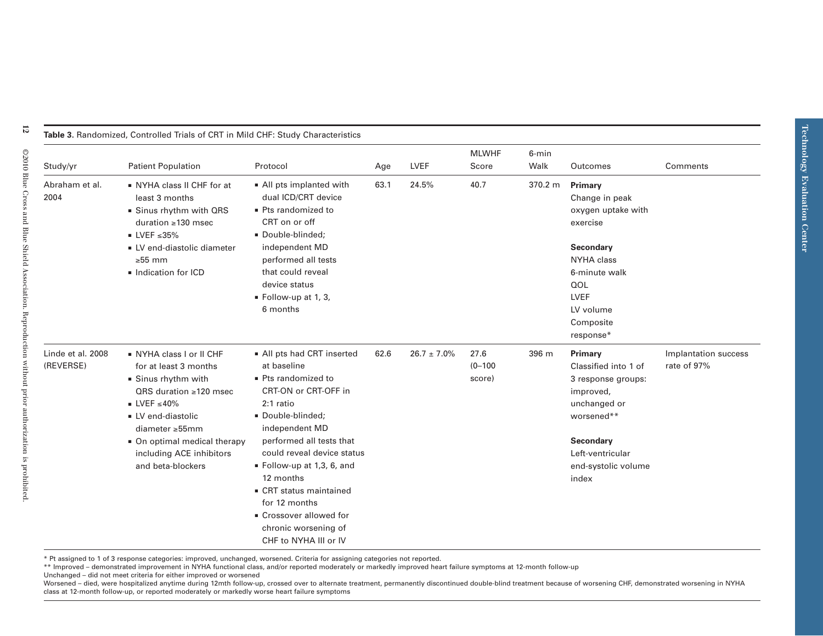| Study/yr                       | <b>Patient Population</b>                                                                                                                                                                                                                     | Protocol                                                                                                                                                                                                                                                                                                                                                                           | Age  | LVEF             | <b>MLWHF</b><br>Score         | 6-min<br>Walk | Outcomes                                                                                                                                                          | Comments                            |
|--------------------------------|-----------------------------------------------------------------------------------------------------------------------------------------------------------------------------------------------------------------------------------------------|------------------------------------------------------------------------------------------------------------------------------------------------------------------------------------------------------------------------------------------------------------------------------------------------------------------------------------------------------------------------------------|------|------------------|-------------------------------|---------------|-------------------------------------------------------------------------------------------------------------------------------------------------------------------|-------------------------------------|
| Abraham et al.<br>2004         | NYHA class II CHF for at<br>least 3 months<br>· Sinus rhythm with QRS<br>duration $\geq$ 130 msec<br>$LVEF \leq 35\%$<br>LV end-diastolic diameter<br>$\geq 55$ mm<br>Indication for ICD                                                      | • All pts implanted with<br>dual ICD/CRT device<br>■ Pts randomized to<br>CRT on or off<br>Double-blinded:<br>independent MD<br>performed all tests<br>that could reveal<br>device status<br>$\blacksquare$ Follow-up at 1, 3,<br>6 months                                                                                                                                         | 63.1 | 24.5%            | 40.7                          | 370.2 m       | Primary<br>Change in peak<br>oxygen uptake with<br>exercise<br>Secondary<br>NYHA class<br>6-minute walk<br>QOL<br>LVEF<br>LV volume<br>Composite<br>response*     |                                     |
| Linde et al. 2008<br>(REVERSE) | NYHA class I or II CHF<br>for at least 3 months<br>• Sinus rhythm with<br>QRS duration ≥120 msec<br>$LVEF \leq 40\%$<br>• LV end-diastolic<br>diameter ≥55mm<br>• On optimal medical therapy<br>including ACE inhibitors<br>and beta-blockers | All pts had CRT inserted<br>at baseline<br>■ Pts randomized to<br>CRT-ON or CRT-OFF in<br>2:1 ratio<br>Double-blinded;<br>independent MD<br>performed all tests that<br>could reveal device status<br>$\blacksquare$ Follow-up at 1,3, 6, and<br>12 months<br>• CRT status maintained<br>for 12 months<br>• Crossover allowed for<br>chronic worsening of<br>CHF to NYHA III or IV | 62.6 | $26.7 \pm 7.0\%$ | 27.6<br>$(0 - 100)$<br>score) | 396 m         | Primary<br>Classified into 1 of<br>3 response groups:<br>improved,<br>unchanged or<br>worsened**<br>Secondary<br>Left-ventricular<br>end-systolic volume<br>index | Implantation success<br>rate of 97% |

## **Table 3.** Randomized, Controlled Trials of CRT in Mild CHF: Study Characteristics

\* Pt assigned to 1 of 3 response categories: improved, unchanged, worsened. Criteria for assigning categories not reported.

\*\* Improved – demonstrated improvement in NYHA functional class, and/or reported moderately or markedly improved heart failure symptoms at 12-month follow-up

Unchanged – did not meet criteria for either improved or worsened

Worsened - died, were hospitalized anytime during 12mth follow-up, crossed over to alternate treatment, permanently discontinued double-blind treatment because of worsening CHF, demonstrated worsening in NYHA class at 12-month follow-up, or reported moderately or markedly worse heart failure symptoms

**12**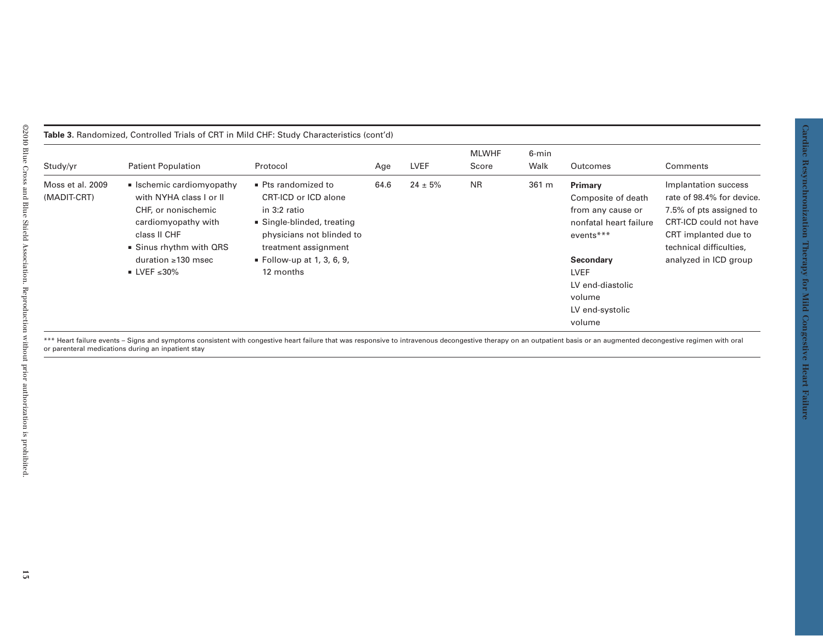|                                 |                                                                                                                                                                                                                                                                            |                                                                                                                                                                                           |      |              | <b>MLWHF</b> | 6-min |                                                                                                                                                                                  |                                                                                                                                                                                    |
|---------------------------------|----------------------------------------------------------------------------------------------------------------------------------------------------------------------------------------------------------------------------------------------------------------------------|-------------------------------------------------------------------------------------------------------------------------------------------------------------------------------------------|------|--------------|--------------|-------|----------------------------------------------------------------------------------------------------------------------------------------------------------------------------------|------------------------------------------------------------------------------------------------------------------------------------------------------------------------------------|
| Study/yr                        | <b>Patient Population</b>                                                                                                                                                                                                                                                  | Protocol                                                                                                                                                                                  | Age  | LVEF         | Score        | Walk  | Outcomes                                                                                                                                                                         | Comments                                                                                                                                                                           |
| Moss et al. 2009<br>(MADIT-CRT) | ■ Ischemic cardiomyopathy<br>with NYHA class I or II<br>CHF, or nonischemic<br>cardiomyopathy with<br>class II CHF<br>Sinus rhythm with QRS<br>duration $\geq$ 130 msec<br>$\blacksquare$ LVEF $\leq 30\%$                                                                 | ■ Pts randomized to<br>CRT-ICD or ICD alone<br>in 3:2 ratio<br>· Single-blinded, treating<br>physicians not blinded to<br>treatment assignment<br>■ Follow-up at 1, 3, 6, 9,<br>12 months | 64.6 | $24 \pm 5\%$ | <b>NR</b>    | 361 m | Primary<br>Composite of death<br>from any cause or<br>nonfatal heart failure<br>events***<br>Secondary<br><b>LVEF</b><br>LV end-diastolic<br>volume<br>LV end-systolic<br>volume | Implantation success<br>rate of 98.4% for device.<br>7.5% of pts assigned to<br>CRT-ICD could not have<br>CRT implanted due to<br>technical difficulties,<br>analyzed in ICD group |
|                                 | *** Heart failure events - Signs and symptoms consistent with congestive heart failure that was responsive to intravenous decongestive therapy on an outpatient basis or an augmented decongestive regimen with oral<br>or parenteral medications during an inpatient stay |                                                                                                                                                                                           |      |              |              |       |                                                                                                                                                                                  |                                                                                                                                                                                    |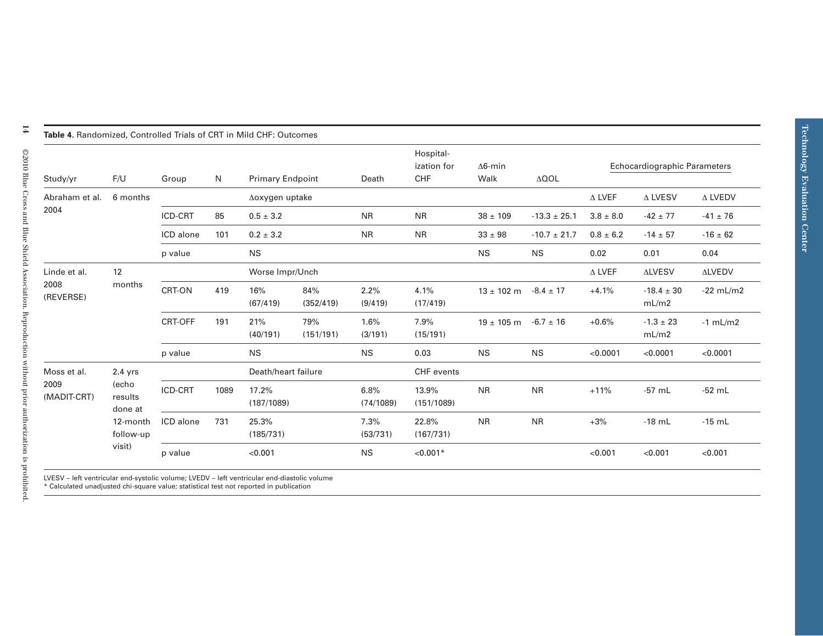| <b>Table 4.</b> Nationitized, Controlled Trials of CNT in initia CHF. Outcomes |                             |           |          |                         |                  |                   |                                 |                              |                  |               |                              |               |
|--------------------------------------------------------------------------------|-----------------------------|-----------|----------|-------------------------|------------------|-------------------|---------------------------------|------------------------------|------------------|---------------|------------------------------|---------------|
| Study/yr                                                                       | F/U                         | Group     | N        | <b>Primary Endpoint</b> |                  | Death             | Hospital-<br>ization for<br>CHF | $\Delta$ 6-min<br>Walk       | $\triangle$ QOL  |               | Echocardiographic Parameters |               |
| Abraham et al.                                                                 | 6 months                    |           |          | ∆oxygen uptake          |                  |                   |                                 |                              |                  | $\Delta$ LVEF | A LVESV                      | A LVEDV       |
| 2004                                                                           |                             | ICD-CRT   | 85       | $0.5 \pm 3.2$           |                  | <b>NR</b>         | <b>NR</b>                       | $38 \pm 109$                 | $-13.3 \pm 25.1$ | $3.8 \pm 8.0$ | $-42 \pm 77$                 | $-41 \pm 76$  |
|                                                                                |                             | ICD alone | 101      | $0.2 \pm 3.2$           |                  | <b>NR</b>         | <b>NR</b>                       | $33 \pm 98$                  | $-10.7 \pm 21.7$ | $0.8 \pm 6.2$ | $-14 \pm 57$                 | $-16 \pm 62$  |
|                                                                                |                             | p value   |          | <b>NS</b>               |                  |                   |                                 | <b>NS</b>                    | <b>NS</b>        | 0.02          | 0.01                         | 0.04          |
| Linde et al.                                                                   | 12                          |           |          | Worse Impr/Unch         |                  |                   |                                 |                              |                  | $\Delta$ LVEF | <b>ALVESV</b>                | <b>ALVEDV</b> |
| 2008<br>(REVERSE)                                                              | months                      | CRT-ON    | 419      | 16%<br>(67/419)         | 84%<br>(352/419) | 2.2%<br>(9/419)   | 4.1%<br>(17/419)                | $13 \pm 102$ m $-8.4 \pm 17$ |                  | $+4.1%$       | $-18.4 \pm 30$<br>mL/m2      | $-22$ mL/m2   |
|                                                                                |                             | CRT-OFF   | 191      | 21%<br>(40/191)         | 79%<br>(151/191) | 1.6%<br>(3/191)   | 7.9%<br>(15/191)                | $19 \pm 105$ m $-6.7 \pm 16$ |                  | $+0.6%$       | $-1.3 \pm 23$<br>mL/m2       | $-1$ mL/m2    |
|                                                                                |                             | p value   |          | <b>NS</b>               |                  | <b>NS</b>         | 0.03                            | <b>NS</b>                    | <b>NS</b>        | < 0.0001      | < 0.0001                     | < 0.0001      |
| Moss et al.                                                                    | $2.4$ yrs                   |           |          | Death/heart failure     |                  |                   | CHF events                      |                              |                  |               |                              |               |
| 2009<br>(MADIT-CRT)                                                            | (echo<br>results<br>done at | ICD-CRT   | 1089     | 17.2%<br>(187/1089)     |                  | 6.8%<br>(74/1089) | 13.9%<br>(151/1089)             | <b>NR</b>                    | <b>NR</b>        | $+11%$        | $-57$ mL                     | $-52$ mL      |
|                                                                                | 12-month<br>follow-up       | ICD alone | 731      | 25.3%<br>(185/731)      |                  | 7.3%<br>(53/731)  | 22.8%<br>(167/731)              | <b>NR</b>                    | <b>NR</b>        | $+3%$         | $-18$ mL                     | $-15$ mL      |
|                                                                                | visit)                      | p value   |          | < 0.001                 |                  | <b>NS</b>         | $< 0.001*$                      |                              |                  | < 0.001       | < 0.001                      | < 0.001       |
|                                                                                |                             |           | $\cdots$ | .                       |                  |                   |                                 |                              |                  |               |                              |               |

**Table 4.** Randomized, Controlled Trials of CRT in Mild CHF: Outcomes

LVESV – left ventricular end-systolic volume; LVEDV – left ventricular end-diastolic volume

\* Calculated unadjusted chi-square value; statistical test not reported in publication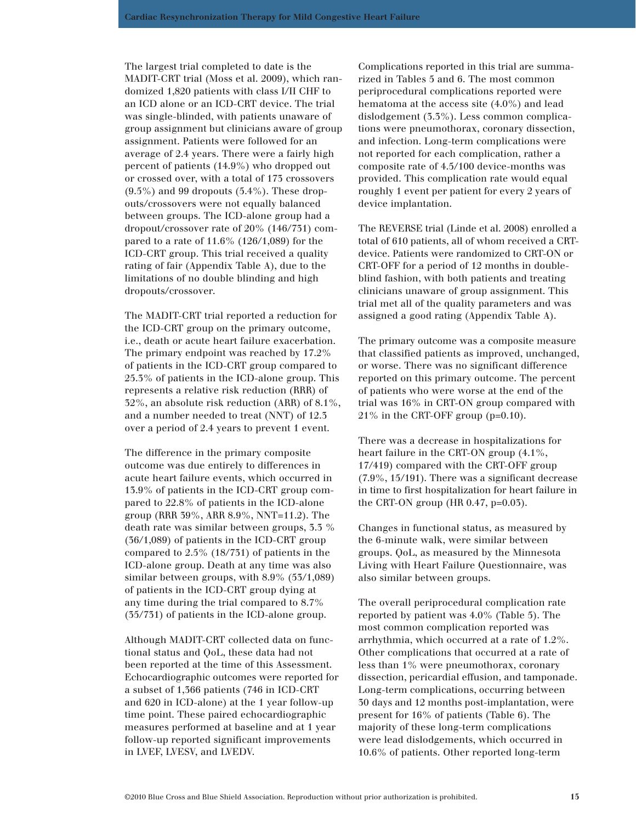The largest trial completed to date is the MADIT-CRT trial (Moss et al. 2009), which randomized 1,820 patients with class I/II CHF to an ICD alone or an ICD-CRT device. The trial was single-blinded, with patients unaware of group assignment but clinicians aware of group assignment. Patients were followed for an average of 2.4 years. There were a fairly high percent of patients (14.9%) who dropped out or crossed over, with a total of 173 crossovers  $(9.5\%)$  and 99 dropouts  $(5.4\%)$ . These dropouts/crossovers were not equally balanced between groups. The ICD-alone group had a dropout/crossover rate of 20% (146/731) compared to a rate of 11.6% (126/1,089) for the ICD-CRT group. This trial received a quality rating of fair (Appendix Table A), due to the limitations of no double blinding and high dropouts/crossover.

The MADIT-CRT trial reported a reduction for the ICD-CRT group on the primary outcome, i.e., death or acute heart failure exacerbation. The primary endpoint was reached by 17.2% of patients in the ICD-CRT group compared to 25.3% of patients in the ICD-alone group. This represents a relative risk reduction (RRR) of 32%, an absolute risk reduction (ARR) of 8.1%, and a number needed to treat (NNT) of 12.3 over a period of 2.4 years to prevent 1 event.

The difference in the primary composite outcome was due entirely to differences in acute heart failure events, which occurred in 13.9% of patients in the ICD-CRT group compared to 22.8% of patients in the ICD-alone group (RRR 39%, ARR 8.9%, NNT=11.2). The death rate was similar between groups, 3.3 % (36/1,089) of patients in the ICD-CRT group compared to 2.5% (18/731) of patients in the ICD-alone group. Death at any time was also similar between groups, with 8.9% (53/1,089) of patients in the ICD-CRT group dying at any time during the trial compared to 8.7% (35/731) of patients in the ICD-alone group.

Although MADIT-CRT collected data on functional status and QoL, these data had not been reported at the time of this Assessment. Echocardiographic outcomes were reported for a subset of 1,366 patients (746 in ICD-CRT and 620 in ICD-alone) at the 1 year follow-up time point. These paired echocardiographic measures performed at baseline and at 1 year follow-up reported significant improvements in LVEF, LVESV, and LVEDV.

Complications reported in this trial are summarized in Tables 5 and 6. The most common periprocedural complications reported were hematoma at the access site (4.0%) and lead dislodgement (3.3%). Less common complications were pneumothorax, coronary dissection, and infection. Long-term complications were not reported for each complication, rather a composite rate of 4.5/100 device-months was provided. This complication rate would equal roughly 1 event per patient for every 2 years of device implantation.

The REVERSE trial (Linde et al. 2008) enrolled a total of 610 patients, all of whom received a CRTdevice. Patients were randomized to CRT-ON or CRT-OFF for a period of 12 months in doubleblind fashion, with both patients and treating clinicians unaware of group assignment. This trial met all of the quality parameters and was assigned a good rating (Appendix Table A).

The primary outcome was a composite measure that classified patients as improved, unchanged, or worse. There was no significant difference reported on this primary outcome. The percent of patients who were worse at the end of the trial was 16% in CRT-ON group compared with 21% in the CRT-OFF group (p=0.10).

There was a decrease in hospitalizations for heart failure in the CRT-ON group (4.1%, 17/419) compared with the CRT-OFF group (7.9%, 15/191). There was a significant decrease in time to first hospitalization for heart failure in the CRT-ON group (HR 0.47, p=0.03).

Changes in functional status, as measured by the 6-minute walk, were similar between groups. QoL, as measured by the Minnesota Living with Heart Failure Questionnaire, was also similar between groups.

The overall periprocedural complication rate reported by patient was 4.0% (Table 5). The most common complication reported was arrhythmia, which occurred at a rate of 1.2%. Other complications that occurred at a rate of less than 1% were pneumothorax, coronary dissection, pericardial effusion, and tamponade. Long-term complications, occurring between 30 days and 12 months post-implantation, were present for 16% of patients (Table 6). The majority of these long-term complications were lead dislodgements, which occurred in 10.6% of patients. Other reported long-term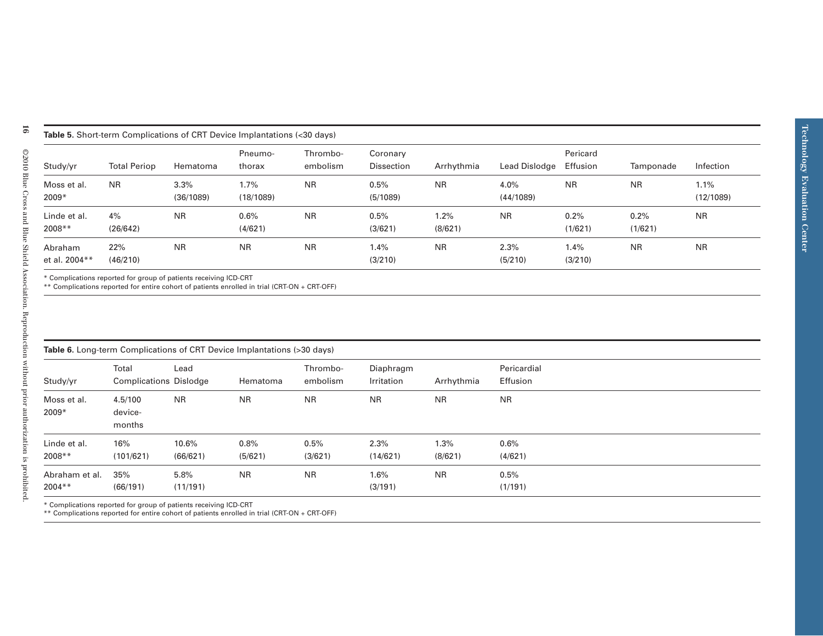| <b>Table 5.</b> Short-term Complications of CRT Device Implantations (<30 days) |  |
|---------------------------------------------------------------------------------|--|
|---------------------------------------------------------------------------------|--|

| Study/yr                 | <b>Total Periop</b> | Hematoma          | Pneumo-<br>thorax | Thrombo-<br>embolism | Coronary<br><b>Dissection</b> | Arrhythmia      | Lead Dislodge     | Pericard<br>Effusion | Tamponade       | Infection         |
|--------------------------|---------------------|-------------------|-------------------|----------------------|-------------------------------|-----------------|-------------------|----------------------|-----------------|-------------------|
| Moss et al.<br>$2009*$   | <b>NR</b>           | 3.3%<br>(36/1089) | 1.7%<br>(18/1089) | <b>NR</b>            | 0.5%<br>(5/1089)              | <b>NR</b>       | 4.0%<br>(44/1089) | <b>NR</b>            | <b>NR</b>       | 1.1%<br>(12/1089) |
| Linde et al.<br>2008**   | 4%<br>(26/642)      | <b>NR</b>         | 0.6%<br>(4/621)   | <b>NR</b>            | 0.5%<br>(3/621)               | 1.2%<br>(8/621) | NR.               | 0.2%<br>(1/621)      | 0.2%<br>(1/621) | <b>NR</b>         |
| Abraham<br>et al. 2004** | 22%<br>(46/210)     | <b>NR</b>         | <b>NR</b>         | <b>NR</b>            | $1.4\%$<br>(3/210)            | <b>NR</b>       | 2.3%<br>(5/210)   | $1.4\%$<br>(3/210)   | <b>NR</b>       | <b>NR</b>         |

|  | <b>Fable 6.</b> Long-term Complications of CRT Device Implantations (>30 days) |  |  |  |  |
|--|--------------------------------------------------------------------------------|--|--|--|--|
|  |                                                                                |  |  |  |  |

| Study/yr                                       | <b>Total Periop</b>                    | Hematoma          | Pneumo-<br>thorax                                                       | Thrombo-<br>embolism | Coronary<br><b>Dissection</b> | Arrhythmia      | Lead Dislodge           | Pericard<br>Effusion | Tamponade       | Infection         |
|------------------------------------------------|----------------------------------------|-------------------|-------------------------------------------------------------------------|----------------------|-------------------------------|-----------------|-------------------------|----------------------|-----------------|-------------------|
| Moss et al.<br>2009*                           | <b>NR</b>                              | 3.3%<br>(36/1089) | 1.7%<br>(18/1089)                                                       | <b>NR</b>            | 0.5%<br>(5/1089)              | <b>NR</b>       | 4.0%<br>(44/1089)       | <b>NR</b>            | <b>NR</b>       | 1.1%<br>(12/1089) |
| Linde et al.<br>2008**                         | 4%<br>(26/642)                         | <b>NR</b>         | 0.6%<br>(4/621)                                                         | <b>NR</b>            | 0.5%<br>(3/621)               | 1.2%<br>(8/621) | <b>NR</b>               | 0.2%<br>(1/621)      | 0.2%<br>(1/621) | <b>NR</b>         |
| Abraham<br>et al. 2004**                       | 22%<br>(46/210)                        | <b>NR</b>         | <b>NR</b>                                                               | <b>NR</b>            | 1.4%<br>(3/210)               | <b>NR</b>       | 2.3%<br>(5/210)         | 1.4%<br>(3/210)      | <b>NR</b>       | <b>NR</b>         |
|                                                |                                        |                   |                                                                         |                      |                               |                 |                         |                      |                 |                   |
|                                                |                                        |                   | Table 6. Long-term Complications of CRT Device Implantations (>30 days) |                      |                               |                 |                         |                      |                 |                   |
| Study/yr                                       | Total<br><b>Complications Dislodge</b> | Lead              | Hematoma                                                                | Thrombo-<br>embolism | Diaphragm<br>Irritation       | Arrhythmia      | Pericardial<br>Effusion |                      |                 |                   |
|                                                | 4.5/100<br>device-<br>months           | <b>NR</b>         | <b>NR</b>                                                               | <b>NR</b>            | <b>NR</b>                     | <b>NR</b>       | <b>NR</b>               |                      |                 |                   |
| Moss et al.<br>2009*<br>Linde et al.<br>2008** | 16%<br>(101/621)                       | 10.6%<br>(66/621) | 0.8%<br>(5/621)                                                         | 0.5%<br>(3/621)      | 2.3%<br>(14/621)              | 1.3%<br>(8/621) | 0.6%<br>(4/621)         |                      |                 |                   |

\* Complications reported for group of patients receiving ICD-CRT \*\* Complications reported for entire cohort of patients enrolled in trial (CRT-ON + CRT-OFF)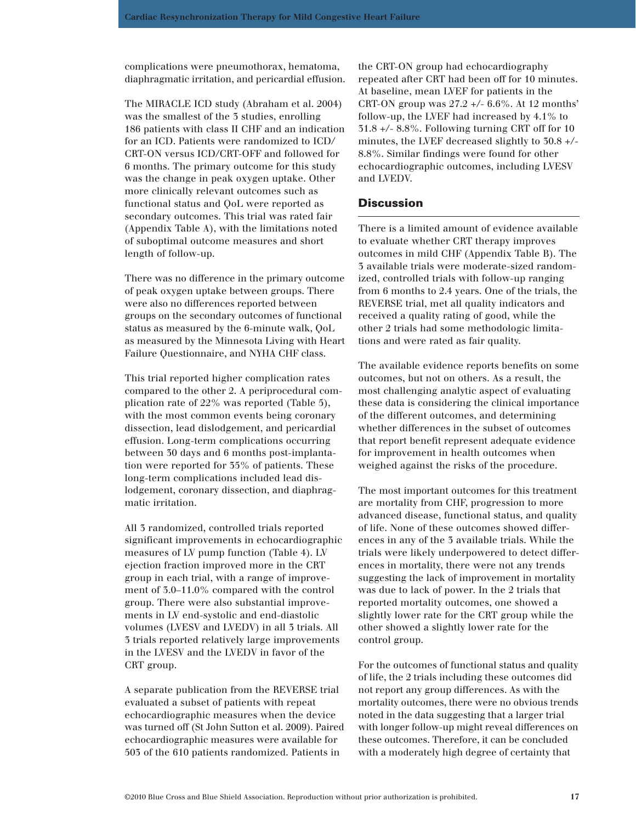<span id="page-16-0"></span>complications were pneumothorax, hematoma, diaphragmatic irritation, and pericardial effusion.

The MIRACLE ICD study (Abraham et al. 2004) was the smallest of the 3 studies, enrolling 186 patients with class II CHF and an indication for an ICD. Patients were randomized to ICD/ CRT-ON versus ICD/CRT-OFF and followed for 6 months. The primary outcome for this study was the change in peak oxygen uptake. Other more clinically relevant outcomes such as functional status and QoL were reported as secondary outcomes. This trial was rated fair (Appendix Table A), with the limitations noted of suboptimal outcome measures and short length of follow-up.

There was no difference in the primary outcome of peak oxygen uptake between groups. There were also no differences reported between groups on the secondary outcomes of functional status as measured by the 6-minute walk, QoL as measured by the Minnesota Living with Heart Failure Questionnaire, and NYHA CHF class.

This trial reported higher complication rates compared to the other 2. A periprocedural complication rate of 22% was reported (Table 5), with the most common events being coronary dissection, lead dislodgement, and pericardial effusion. Long-term complications occurring between 30 days and 6 months post-implantation were reported for 35% of patients. These long-term complications included lead dislodgement, coronary dissection, and diaphragmatic irritation.

All 3 randomized, controlled trials reported significant improvements in echocardiographic measures of LV pump function (Table 4). LV ejection fraction improved more in the CRT group in each trial, with a range of improvement of 3.0–11.0% compared with the control group. There were also substantial improvements in LV end-systolic and end-diastolic volumes (LVESV and LVEDV) in all 3 trials. All 3 trials reported relatively large improvements in the LVESV and the LVEDV in favor of the CRT group.

A separate publication from the REVERSE trial evaluated a subset of patients with repeat echocardiographic measures when the device was turned off (St John Sutton et al. 2009). Paired echocardiographic measures were available for 503 of the 610 patients randomized. Patients in

the CRT-ON group had echocardiography repeated after CRT had been off for 10 minutes. At baseline, mean LVEF for patients in the CRT-ON group was 27.2 +/- 6.6%. At 12 months' follow-up, the LVEF had increased by 4.1% to 31.8 +/- 8.8%. Following turning CRT off for 10 minutes, the LVEF decreased slightly to 30.8 +/- 8.8%. Similar findings were found for other echocardiographic outcomes, including LVESV and LVEDV.

## **Discussion**

There is a limited amount of evidence available to evaluate whether CRT therapy improves outcomes in mild CHF (Appendix Table B). The 3 available trials were moderate-sized randomized, controlled trials with follow-up ranging from 6 months to 2.4 years. One of the trials, the REVERSE trial, met all quality indicators and received a quality rating of good, while the other 2 trials had some methodologic limitations and were rated as fair quality.

The available evidence reports benefits on some outcomes, but not on others. As a result, the most challenging analytic aspect of evaluating these data is considering the clinical importance of the different outcomes, and determining whether differences in the subset of outcomes that report benefit represent adequate evidence for improvement in health outcomes when weighed against the risks of the procedure.

The most important outcomes for this treatment are mortality from CHF, progression to more advanced disease, functional status, and quality of life. None of these outcomes showed differences in any of the 3 available trials. While the trials were likely underpowered to detect differences in mortality, there were not any trends suggesting the lack of improvement in mortality was due to lack of power. In the 2 trials that reported mortality outcomes, one showed a slightly lower rate for the CRT group while the other showed a slightly lower rate for the control group.

For the outcomes of functional status and quality of life, the 2 trials including these outcomes did not report any group differences. As with the mortality outcomes, there were no obvious trends noted in the data suggesting that a larger trial with longer follow-up might reveal differences on these outcomes. Therefore, it can be concluded with a moderately high degree of certainty that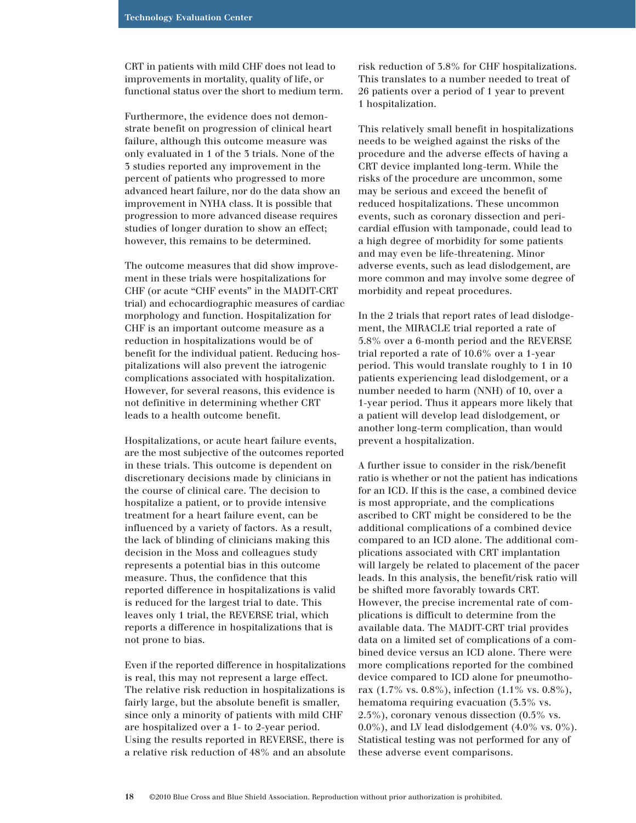CRT in patients with mild CHF does not lead to improvements in mortality, quality of life, or functional status over the short to medium term.

Furthermore, the evidence does not demonstrate benefit on progression of clinical heart failure, although this outcome measure was only evaluated in 1 of the 3 trials. None of the 3 studies reported any improvement in the percent of patients who progressed to more advanced heart failure, nor do the data show an improvement in NYHA class. It is possible that progression to more advanced disease requires studies of longer duration to show an effect; however, this remains to be determined.

The outcome measures that did show improvement in these trials were hospitalizations for CHF (or acute "CHF events" in the MADIT-CRT trial) and echocardiographic measures of cardiac morphology and function. Hospitalization for CHF is an important outcome measure as a reduction in hospitalizations would be of benefit for the individual patient. Reducing hospitalizations will also prevent the iatrogenic complications associated with hospitalization. However, for several reasons, this evidence is not definitive in determining whether CRT leads to a health outcome benefit.

Hospitalizations, or acute heart failure events, are the most subjective of the outcomes reported in these trials. This outcome is dependent on discretionary decisions made by clinicians in the course of clinical care. The decision to hospitalize a patient, or to provide intensive treatment for a heart failure event, can be influenced by a variety of factors. As a result, the lack of blinding of clinicians making this decision in the Moss and colleagues study represents a potential bias in this outcome measure. Thus, the confidence that this reported difference in hospitalizations is valid is reduced for the largest trial to date. This leaves only 1 trial, the REVERSE trial, which reports a difference in hospitalizations that is not prone to bias.

Even if the reported difference in hospitalizations is real, this may not represent a large effect. The relative risk reduction in hospitalizations is fairly large, but the absolute benefit is smaller, since only a minority of patients with mild CHF are hospitalized over a 1- to 2-year period. Using the results reported in REVERSE, there is a relative risk reduction of 48% and an absolute

risk reduction of 3.8% for CHF hospitalizations. This translates to a number needed to treat of 26 patients over a period of 1 year to prevent 1 hospitalization.

This relatively small benefit in hospitalizations needs to be weighed against the risks of the procedure and the adverse effects of having a CRT device implanted long-term. While the risks of the procedure are uncommon, some may be serious and exceed the benefit of reduced hospitalizations. These uncommon events, such as coronary dissection and pericardial effusion with tamponade, could lead to a high degree of morbidity for some patients and may even be life-threatening. Minor adverse events, such as lead dislodgement, are more common and may involve some degree of morbidity and repeat procedures.

In the 2 trials that report rates of lead dislodgement, the MIRACLE trial reported a rate of 5.8% over a 6-month period and the REVERSE trial reported a rate of 10.6% over a 1-year period. This would translate roughly to 1 in 10 patients experiencing lead dislodgement, or a number needed to harm (NNH) of 10, over a 1-year period. Thus it appears more likely that a patient will develop lead dislodgement, or another long-term complication, than would prevent a hospitalization.

A further issue to consider in the risk/benefit ratio is whether or not the patient has indications for an ICD. If this is the case, a combined device is most appropriate, and the complications ascribed to CRT might be considered to be the additional complications of a combined device compared to an ICD alone. The additional complications associated with CRT implantation will largely be related to placement of the pacer leads. In this analysis, the benefit/risk ratio will be shifted more favorably towards CRT. However, the precise incremental rate of complications is difficult to determine from the available data. The MADIT-CRT trial provides data on a limited set of complications of a combined device versus an ICD alone. There were more complications reported for the combined device compared to ICD alone for pneumothorax (1.7% vs. 0.8%), infection (1.1% vs. 0.8%), hematoma requiring evacuation (3.3% vs. 2.5%), coronary venous dissection (0.5% vs. 0.0%), and LV lead dislodgement  $(4.0\% \text{ vs. } 0\%)$ . Statistical testing was not performed for any of these adverse event comparisons.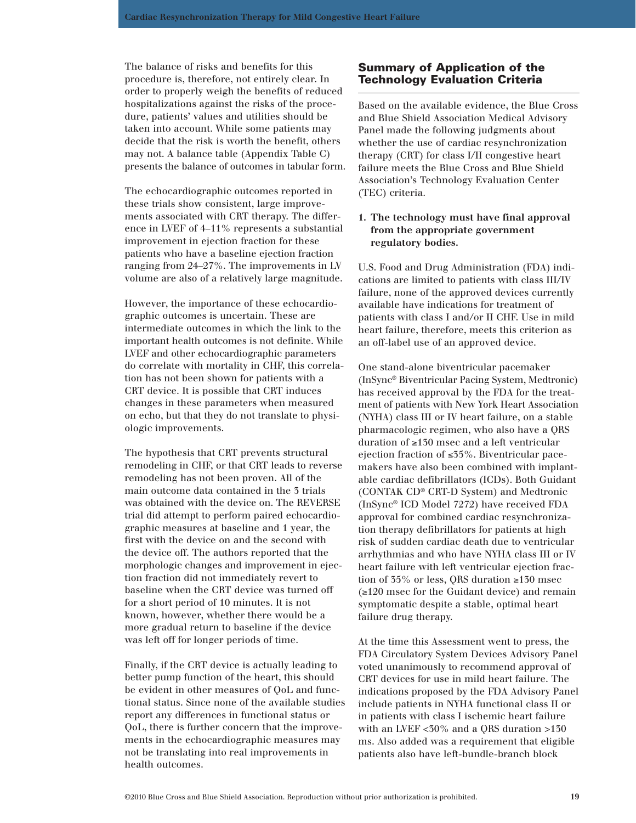<span id="page-18-0"></span>The balance of risks and benefits for this procedure is, therefore, not entirely clear. In order to properly weigh the benefits of reduced hospitalizations against the risks of the procedure, patients' values and utilities should be taken into account. While some patients may decide that the risk is worth the benefit, others may not. A balance table (Appendix Table C) presents the balance of outcomes in tabular form.

The echocardiographic outcomes reported in these trials show consistent, large improvements associated with CRT therapy. The difference in LVEF of 4–11% represents a substantial improvement in ejection fraction for these patients who have a baseline ejection fraction ranging from 24–27%. The improvements in LV volume are also of a relatively large magnitude.

However, the importance of these echocardiographic outcomes is uncertain. These are intermediate outcomes in which the link to the important health outcomes is not definite. While LVEF and other echocardiographic parameters do correlate with mortality in CHF, this correlation has not been shown for patients with a CRT device. It is possible that CRT induces changes in these parameters when measured on echo, but that they do not translate to physiologic improvements.

The hypothesis that CRT prevents structural remodeling in CHF, or that CRT leads to reverse remodeling has not been proven. All of the main outcome data contained in the 3 trials was obtained with the device on. The REVERSE trial did attempt to perform paired echocardiographic measures at baseline and 1 year, the first with the device on and the second with the device off. The authors reported that the morphologic changes and improvement in ejection fraction did not immediately revert to baseline when the CRT device was turned off for a short period of 10 minutes. It is not known, however, whether there would be a more gradual return to baseline if the device was left off for longer periods of time.

Finally, if the CRT device is actually leading to better pump function of the heart, this should be evident in other measures of QoL and functional status. Since none of the available studies report any differences in functional status or QoL, there is further concern that the improvements in the echocardiographic measures may not be translating into real improvements in health outcomes.

## Summary of Application of the Technology Evaluation Criteria

Based on the available evidence, the Blue Cross and Blue Shield Association Medical Advisory Panel made the following judgments about whether the use of cardiac resynchronization therapy (CRT) for class I/II congestive heart failure meets the Blue Cross and Blue Shield Association's Technology Evaluation Center (TEC) criteria.

## **1. The technology must have final approval from the appropriate government regulatory bodies.**

U.S. Food and Drug Administration (FDA) indications are limited to patients with class III/IV failure, none of the approved devices currently available have indications for treatment of patients with class I and/or II CHF. Use in mild heart failure, therefore, meets this criterion as an off-label use of an approved device.

One stand-alone biventricular pacemaker (InSync® Biventricular Pacing System, Medtronic) has received approval by the FDA for the treatment of patients with New York Heart Association (NYHA) class III or IV heart failure, on a stable pharmacologic regimen, who also have a QRS duration of ≥130 msec and a left ventricular ejection fraction of ≤35%. Biventricular pacemakers have also been combined with implantable cardiac defibrillators (ICDs). Both Guidant (CONTAK CD® CRT-D System) and Medtronic (InSync® ICD Model 7272) have received FDA approval for combined cardiac resynchronization therapy defibrillators for patients at high risk of sudden cardiac death due to ventricular arrhythmias and who have NYHA class III or IV heart failure with left ventricular ejection fraction of 35% or less, QRS duration ≥130 msec (≥120 msec for the Guidant device) and remain symptomatic despite a stable, optimal heart failure drug therapy.

At the time this Assessment went to press, the FDA Circulatory System Devices Advisory Panel voted unanimously to recommend approval of CRT devices for use in mild heart failure. The indications proposed by the FDA Advisory Panel include patients in NYHA functional class II or in patients with class I ischemic heart failure with an LVEF <30% and a QRS duration >130 ms. Also added was a requirement that eligible patients also have left-bundle-branch block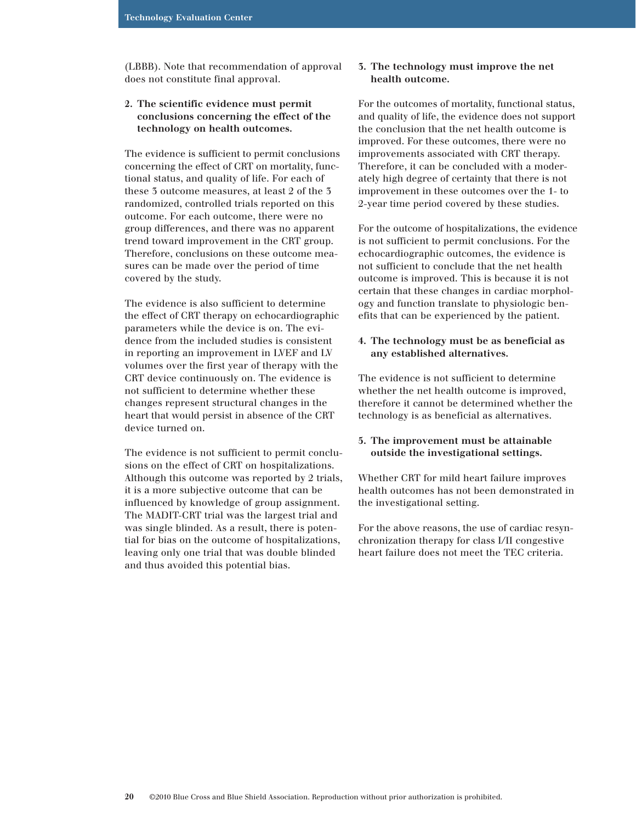(LBBB). Note that recommendation of approval does not constitute final approval.

## **2. The scientific evidence must permit conclusions concerning the effect of the technology on health outcomes.**

The evidence is sufficient to permit conclusions concerning the effect of CRT on mortality, functional status, and quality of life. For each of these 3 outcome measures, at least 2 of the 3 randomized, controlled trials reported on this outcome. For each outcome, there were no group differences, and there was no apparent trend toward improvement in the CRT group. Therefore, conclusions on these outcome measures can be made over the period of time covered by the study.

The evidence is also sufficient to determine the effect of CRT therapy on echocardiographic parameters while the device is on. The evidence from the included studies is consistent in reporting an improvement in LVEF and LV volumes over the first year of therapy with the CRT device continuously on. The evidence is not sufficient to determine whether these changes represent structural changes in the heart that would persist in absence of the CRT device turned on.

The evidence is not sufficient to permit conclusions on the effect of CRT on hospitalizations. Although this outcome was reported by 2 trials, it is a more subjective outcome that can be influenced by knowledge of group assignment. The MADIT-CRT trial was the largest trial and was single blinded. As a result, there is potential for bias on the outcome of hospitalizations, leaving only one trial that was double blinded and thus avoided this potential bias.

## **3. The technology must improve the net health outcome.**

For the outcomes of mortality, functional status, and quality of life, the evidence does not support the conclusion that the net health outcome is improved. For these outcomes, there were no improvements associated with CRT therapy. Therefore, it can be concluded with a moderately high degree of certainty that there is not improvement in these outcomes over the 1- to 2-year time period covered by these studies.

For the outcome of hospitalizations, the evidence is not sufficient to permit conclusions. For the echocardiographic outcomes, the evidence is not sufficient to conclude that the net health outcome is improved. This is because it is not certain that these changes in cardiac morphology and function translate to physiologic benefits that can be experienced by the patient.

## **4. The technology must be as beneficial as any established alternatives.**

The evidence is not sufficient to determine whether the net health outcome is improved, therefore it cannot be determined whether the technology is as beneficial as alternatives.

## **5. The improvement must be attainable outside the investigational settings.**

Whether CRT for mild heart failure improves health outcomes has not been demonstrated in the investigational setting.

For the above reasons, the use of cardiac resynchronization therapy for class I/II congestive heart failure does not meet the TEC criteria.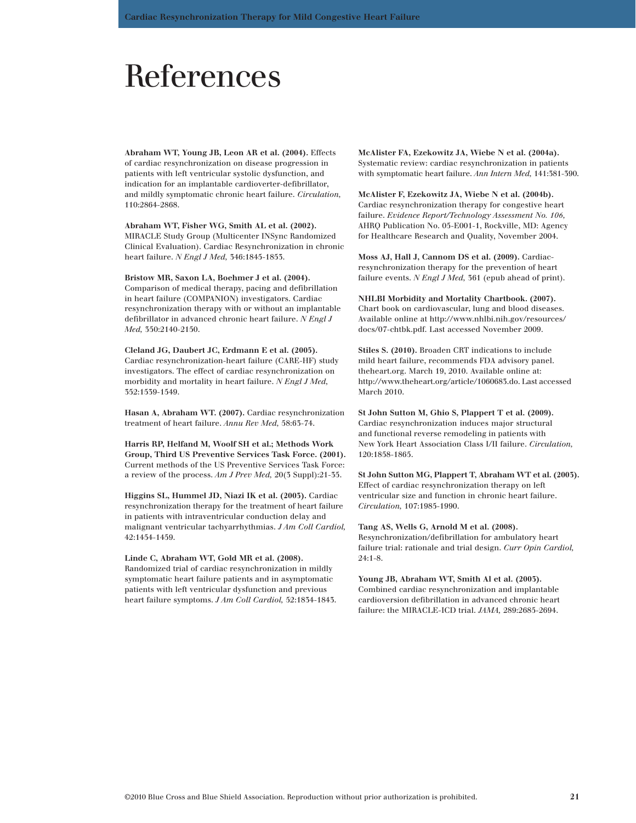## <span id="page-20-0"></span>**References**

**Abraham WT, Young JB, Leon AR et al. (2004).** Effects of cardiac resynchronization on disease progression in patients with left ventricular systolic dysfunction, and indication for an implantable cardioverter-defibrillator, and mildly symptomatic chronic heart failure. *Circulation,* 110:2864-2868.

**Abraham WT, Fisher WG, Smith AL et al. (2002).** MIRACLE Study Group (Multicenter INSync Randomized Clinical Evaluation). Cardiac Resynchronization in chronic heart failure. *N Engl J Med,* 346:1845-1853.

**Bristow MR, Saxon LA, Boehmer J et al. (2004).** Comparison of medical therapy, pacing and defibrillation in heart failure (COMPANION) investigators. Cardiac resynchronization therapy with or without an implantable defibrillator in advanced chronic heart failure. *N Engl J Med,* 350:2140-2150.

**Cleland JG, Daubert JC, Erdmann E et al. (2005).** Cardiac resynchronization-heart failure (CARE-HF) study investigators. The effect of cardiac resynchronization on morbidity and mortality in heart failure. *N Engl J Med,* 352:1539-1549.

**Hasan A, Abraham WT. (2007).** Cardiac resynchronization treatment of heart failure. *Annu Rev Med,* 58:63-74.

**Harris RP, Helfand M, Woolf SH et al.; Methods Work Group, Third US Preventive Services Task Force. (2001).** Current methods of the US Preventive Services Task Force: a review of the process. *Am J Prev Med,* 20(3 Suppl):21-35.

**Higgins SL, Hummel JD, Niazi IK et al. (2003).** Cardiac resynchronization therapy for the treatment of heart failure in patients with intraventricular conduction delay and malignant ventricular tachyarrhythmias. *J Am Coll Cardiol,* 42:1454-1459.

**Linde C, Abraham WT, Gold MR et al. (2008).** Randomized trial of cardiac resynchronization in mildly symptomatic heart failure patients and in asymptomatic patients with left ventricular dysfunction and previous heart failure symptoms. *J Am Coll Cardiol,* 52:1834-1843. **McAlister FA, Ezekowitz JA, Wiebe N et al. (2004a).** Systematic review: cardiac resynchronization in patients with symptomatic heart failure. *Ann Intern Med,* 141:381-390.

**McAlister F, Ezekowitz JA, Wiebe N et al. (2004b).** Cardiac resynchronization therapy for congestive heart failure. *Evidence Report/Technology Assessment No. 106,* AHRQ Publication No. 05-E001-1, Rockville, MD: Agency for Healthcare Research and Quality, November 2004.

**Moss AJ, Hall J, Cannom DS et al. (2009).** Cardiacresynchronization therapy for the prevention of heart failure events. *N Engl J Med,* 361 (epub ahead of print).

**NHLBI Morbidity and Mortality Chartbook. (2007).** Chart book on cardiovascular, lung and blood diseases. Available online at http://www.nhlbi.nih.gov/resources/ docs/07-chtbk.pdf. Last accessed November 2009.

**Stiles S. (2010).** Broaden CRT indications to include mild heart failure, recommends FDA advisory panel. theheart.org. March 19, 2010. Available online at: http://www.theheart.org/article/1060683.do. Last accessed March 2010.

**St John Sutton M, Ghio S, Plappert T et al. (2009).** Cardiac resynchronization induces major structural and functional reverse remodeling in patients with New York Heart Association Class I/II failure. *Circulation,* 120:1858-1865.

**St John Sutton MG, Plappert T, Abraham WT et al. (2003).** Effect of cardiac resynchronization therapy on left ventricular size and function in chronic heart failure. *Circulation,* 107:1985-1990.

**Tang AS, Wells G, Arnold M et al. (2008).** Resynchronization/defibrillation for ambulatory heart failure trial: rationale and trial design. *Curr Opin Cardiol,* 24:1-8.

**Young JB, Abraham WT, Smith Al et al. (2003).** Combined cardiac resynchronization and implantable cardioversion defibrillation in advanced chronic heart failure: the MIRACLE-ICD trial. *JAMA,* 289:2685-2694.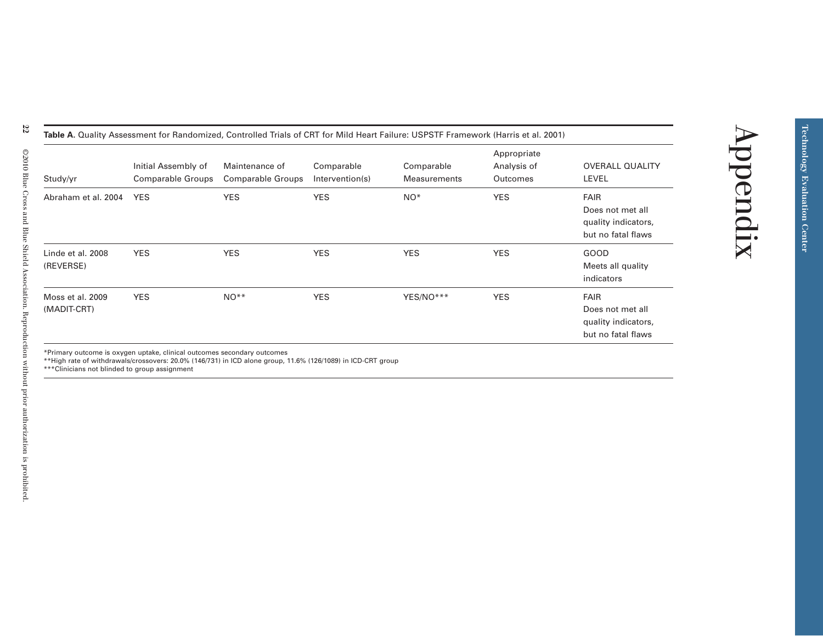<span id="page-21-0"></span>

|                                 |                                                 | Table A. Quality Assessment for Randomized, Controlled Trials of CRT for Mild Heart Failure: USPSTF Framework (Harris et al. 2001) |                               |                                   |                                        |                                                                              |
|---------------------------------|-------------------------------------------------|------------------------------------------------------------------------------------------------------------------------------------|-------------------------------|-----------------------------------|----------------------------------------|------------------------------------------------------------------------------|
| Study/yr                        | Initial Assembly of<br><b>Comparable Groups</b> | Maintenance of<br>Comparable Groups                                                                                                | Comparable<br>Intervention(s) | Comparable<br><b>Measurements</b> | Appropriate<br>Analysis of<br>Outcomes | <b>OVERALL QUALITY</b><br>LEVEL                                              |
| Abraham et al. 2004             | <b>YES</b>                                      | <b>YES</b>                                                                                                                         | <b>YES</b>                    | $NO*$                             | <b>YES</b>                             | <b>FAIR</b><br>Does not met all<br>quality indicators,<br>but no fatal flaws |
| Linde et al. 2008<br>(REVERSE)  | <b>YES</b>                                      | <b>YES</b>                                                                                                                         | <b>YES</b>                    | <b>YES</b>                        | <b>YES</b>                             | GOOD<br>Meets all quality<br>indicators                                      |
| Moss et al. 2009<br>(MADIT-CRT) | <b>YES</b>                                      | $NO**$                                                                                                                             | <b>YES</b>                    | YES/NO***                         | <b>YES</b>                             | <b>FAIR</b><br>Does not met all<br>quality indicators,<br>but no fatal flaws |

\*Primary outcome is oxygen uptake, clinical outcomes secondary outcomes \*\*High rate of withdrawals/crossovers: 20.0% (146/731) in ICD alone group, 11.6% (126/1089) in ICD-CRT group

\*\*\*Clinicians not blinded to group assignment

**Technology Evaluation Center**

Technology Evaluation Center

 $\overline{a}$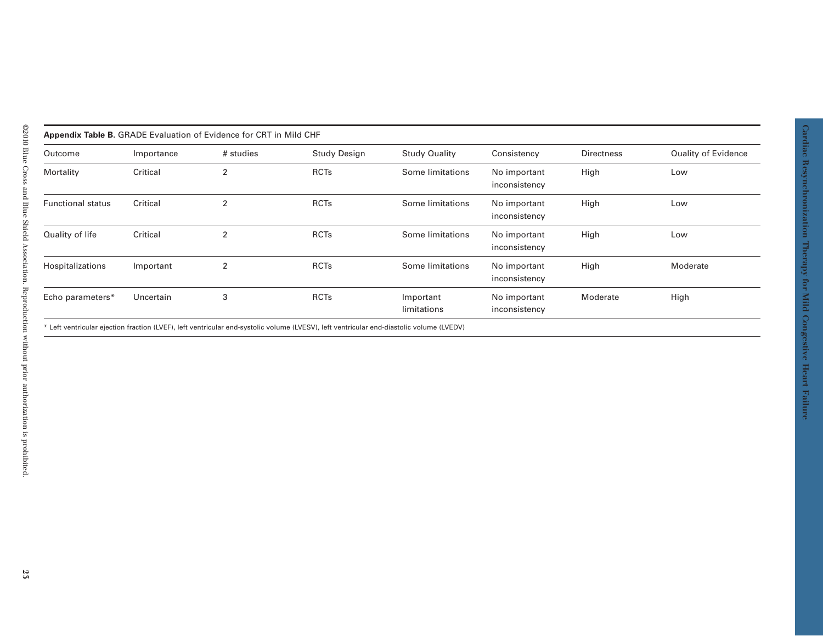| Outcome<br><b>Study Design</b><br><b>Study Quality</b><br>Importance<br># studies<br>Consistency<br><b>Directness</b><br><b>RCTs</b><br>Mortality<br>Critical<br>Some limitations<br>$\overline{2}$<br>No important<br>High<br>Low<br>inconsistency<br>Critical<br><b>RCTs</b><br>Some limitations<br>High<br>No important<br><b>Functional status</b><br>2<br>Low<br>inconsistency<br>Quality of life<br>Some limitations<br>Critical<br><b>RCTs</b><br>High<br>$\overline{2}$<br>No important<br>Low<br>inconsistency<br><b>RCTs</b><br>Some limitations<br>Hospitalizations<br>High<br>Important<br>2<br>No important | Quality of Evidence |
|--------------------------------------------------------------------------------------------------------------------------------------------------------------------------------------------------------------------------------------------------------------------------------------------------------------------------------------------------------------------------------------------------------------------------------------------------------------------------------------------------------------------------------------------------------------------------------------------------------------------------|---------------------|
|                                                                                                                                                                                                                                                                                                                                                                                                                                                                                                                                                                                                                          |                     |
|                                                                                                                                                                                                                                                                                                                                                                                                                                                                                                                                                                                                                          |                     |
|                                                                                                                                                                                                                                                                                                                                                                                                                                                                                                                                                                                                                          |                     |
| inconsistency                                                                                                                                                                                                                                                                                                                                                                                                                                                                                                                                                                                                            | Moderate            |
| <b>RCTs</b><br>3<br>Moderate<br>High<br>Echo parameters*<br>Uncertain<br>Important<br>No important<br>limitations<br>inconsistency                                                                                                                                                                                                                                                                                                                                                                                                                                                                                       |                     |
| * Left ventricular ejection fraction (LVEF), left ventricular end-systolic volume (LVESV), left ventricular end-diastolic volume (LVEDV)                                                                                                                                                                                                                                                                                                                                                                                                                                                                                 |                     |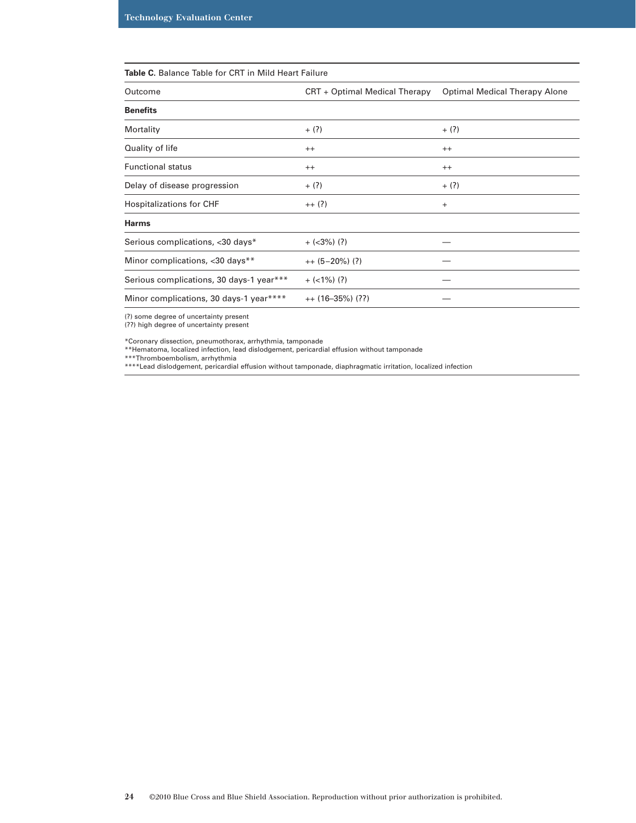#### **Table C.** Balance Table for CRT in Mild Heart Failure

| Outcome                                  | CRT + Optimal Medical Therapy | <b>Optimal Medical Therapy Alone</b> |
|------------------------------------------|-------------------------------|--------------------------------------|
| <b>Benefits</b>                          |                               |                                      |
| Mortality                                | $+$ (?)                       | $+$ (?)                              |
| Quality of life                          | $++$                          | $++$                                 |
| <b>Functional status</b>                 | $^{++}$                       | $++$                                 |
| Delay of disease progression             | $+$ (?)                       | $+$ (?)                              |
| <b>Hospitalizations for CHF</b>          | $++(?)$                       | $+$                                  |
| <b>Harms</b>                             |                               |                                      |
| Serious complications, <30 days*         | $+$ (<3%) (?)                 |                                      |
| Minor complications, <30 days**          | $++ (5-20\%)$ (?)             |                                      |
| Serious complications, 30 days-1 year*** | $+$ (<1%) (?)                 |                                      |
| Minor complications, 30 days-1 year****  | $++(16-35\%)$ (??)            |                                      |
|                                          |                               |                                      |

(?) some degree of uncertainty present

(??) high degree of uncertainty present

\*Coronary dissection, pneumothorax, arrhythmia, tamponade

\*\*Hematoma, localized infection, lead dislodgement, pericardial effusion without tamponade

\*\*\*Thromboembolism, arrhythmia

\*\*\*\*Lead dislodgement, pericardial effusion without tamponade, diaphragmatic irritation, localized infection